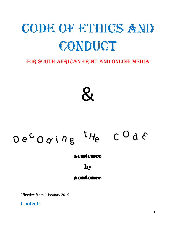# CODE OF ETHICS AND CONDUCT

# FOR SOUTH AFRICAN PRINT AND ONLINE MEDIA

 $\mathbf{z}$ 

# $De^{C}Oqi^{n}g$  $t_{H_{e}}$  C O d E

sentence

by

## sentence

Effective from 1 January 2019

**Contents**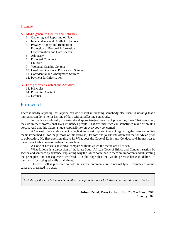#### Preamble

#### A. Media-generated Content and Activities

- 1. Gathering and Reporting of News
- 2. Independence and Conflict of Interest
- 3. Privacy, Dignity and Reputation
- 4. Protection of Personal Information
- 5. Discrimination and Hate Speech
- 6. Advocacy
- 7. Protected Comment
- 8. Children
- 9. Violence, Graphic Content
- 10. Headlines, Captions, Posters and Pictures
- 11. Confidential and Anonymous Sources
- 12. Payment for Information

#### B. User-generated Content and Activities

- 13. Principles
- 14. Prohibited Content
- 15. Defence

## Foreword

There is hardly anything that anyone can do without influencing somebody else; there is *nothing* that a journalist can do in her or his line of duty without affecting somebody.

Journalists should fully understand and appreciate just how much power they have. That *everything*  they do in their professional lives influences people. That this influence can sometimes make or break a person. And that this places a huge responsibility on everybody concerned.

A Code of Ethics and Conduct is the first and most important way of regulating the press and online media ("the media", for the purpose of this exercise). Editors and journalists often ask me for advice prior to publication. My first question always is: What does the Code of Ethics and Conduct say? In most cases the answer to this question solves the problem.

A Code of Ethics is an ethical compass without which the media are all at sea.

What follows is a discussion of the latest South African Code of Ethics and Conduct, section by section and sentence by sentence, explaining why the issues contained in them are important and illustrating the principles and consequences involved – in the hope that this would provide basic guidelines to journalists for acting ethically at all times.

The text itself is presented in bold italics; the comments are in normal type. Examples of actual cases are presented in boxes.

*'A Code of Ethics and Conduct is an ethical compass without which the media are all at sea...'* – **JR**

**Johan Retief,** Press Ombud: Nov 2009 – March 2019 *January 2019*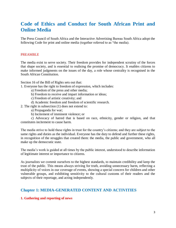# **Code of Ethics and Conduct for South African Print and Online Media**

The Press Council of South Africa and the Interactive Advertising Bureau South Africa adopt the following Code for print and online media (together referred to as "the media).

#### PREAMBLE

The media exist to serve society. Their freedom provides for independent scrutiny of the forces that shape society, and is essential to realising the promise of democracy. It enables citizens to make informed judgments on the issues of the day, a role whose centrality is recognised in the South African Constitution.

Section 16 of the Bill of Rights sets out that:

1. Everyone has the right to freedom of expression, which includes:

- a) Freedom of the press and other media;
- b) Freedom to receive and impart information or ideas;
- c) Freedom of artistic creativity; and
- d) Academic freedom and freedom of scientific research.
- 2. The right in subsection (1) does not extend to:
	- a) Propaganda for war;
	- b) Incitement of imminent violence; or

c) Advocacy of hatred that is based on race, ethnicity, gender or religion, and that constitutes incitement to cause harm.

The media strive to hold these rights in trust for the country's citizens; and they are subject to the same rights and duties as the individual. Everyone has the duty to defend and further these rights, in recognition of the struggles that created them: the media, the public and government, who all make up the democratic state.

The media's work is guided at all times by the public interest, understood to describe information of legitimate interest or importance to citizens.

As journalists we commit ourselves to the highest standards, to maintain credibility and keep the trust of the public. This means always striving for truth, avoiding unnecessary harm, reflecting a multiplicity of voices in our coverage of events, showing a special concern for children and other vulnerable groups, and exhibiting sensitivity to the cultural customs of their readers and the subjects of their reportage, and acting independently.

## **Chapter 1: MEDIA-GENERATED CONTENT AND ACTIVITIES**

#### **1. Gathering and reporting of news**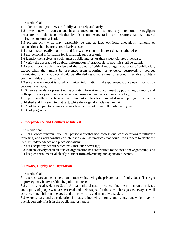The media shall:

1.1 take care to report news truthfully, accurately and fairly;

1.2 present news in context and in a balanced manner, without any intentional or negligent departure from the facts whether by distortion, exaggeration or misrepresentation, material omissions, or summarization;

1.3 present only what may reasonably be true as fact; opinions, allegations, rumours or suppositions shall be presented clearly as such;

1.4 obtain news legally, honestly and fairly, unless public interest dictates otherwise;

1.5 use personal information for journalistic purposes only;

1.6 identify themselves as such, unless public interest or their safety dictates otherwise;

1.7 verify the accuracy of doubtful information, if practicable; if not, this shall be stated;

1.8 seek, if practicable, the views of the subject of critical reportage in advance of publication, except when they might be prevented from reporting, or evidence destroyed, or sources intimidated. Such a subject should be afforded reasonable time to respond; if unable to obtain comment, this shall be stated;

1.9 state where a report is based on limited information, and supplement it once new information becomes available;

1.10 make amends for presenting inaccurate information or comment by publishing promptly and with appropriate prominence a retraction, correction, explanation or an apology;

1.11 prominently indicate when an online article has been amended or an apology or retraction published and link such to that text, while the original article may remain;

1.12 not be obliged to remove any article which is not unlawfully defamatory; and

1.13 not plagiarise.

#### **2. Independence and Conflicts of Interest**

The media shall:

2.1 not allow commercial, political, personal or other non-professional considerations to influence reporting, and avoid conflicts of interest as well as practices that could lead readers to doubt the media's independence and professionalism;

2.2 not accept any benefit which may influence coverage;

2.3 indicate clearly when an outside organization has contributed to the cost of newsgathering; and 2.4 keep editorial material clearly distinct from advertising and sponsored events.

#### **3. Privacy, Dignity and Reputation**

The media shall:

3.1 exercise care and consideration in matters involving the private lives of individuals. The right to privacy may be overridden by public interest;

3.2 afford special weight to South African cultural customs concerning the protection of privacy and dignity of people who are bereaved and their respect for those who have passed away, as well as concerning children, the aged and the physically and mentally disabled;

3.3 exercise care and consideration in matters involving dignity and reputation, which may be overridden only if it is in the public interest and if: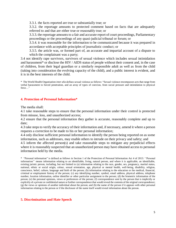3.3.1. the facts reported are true or substantially true; or

3.3.2. the reportage amounts to protected comment based on facts that are adequately referred to and that are either true or reasonably true; or

3.3.3. the reportage amounts to a fair and accurate report of court proceedings, Parliamentary proceedings or the proceedings of any quasi-judicial tribunal or forum; or

3.3.4. it was reasonable for the information to be communicated because it was prepared in accordance with acceptable principles of journalistic conduct; or

3.3.5. the article was, or formed part of, an accurate and impartial account of a dispute to which the complainant was a party;

3.4 not identify rape survivors, survivors of sexual violence which includes sexual intimidation and harassment\* or disclose the HIV / AIDS status of people without their consent and, in the case of children, from their legal guardian or a similarly responsible adult as well as from the child (taking into consideration the evolving capacity of the child), and a public interest is evident, and it is in the best interests of the child.

\* The World Health Organisation *inter alia* defines sexual violence as follows: "Sexual violence encompasses acts that range from verbal harassment to forced penetration, and an array of types of coercion, from social pressure and intimidation to physical force…"

#### **4. Protection of Personal Information\***

The media shall:

4.1 take reasonable steps to ensure that the personal information under their control is protected from misuse, loss, and unauthorized access;

4.2 ensure that the personal information they gather is accurate, reasonably complete and up to date;

4.3 take steps to verify the accuracy of their information and, if necessary, amend it where a person requests a correction to be made to his or her personal information;

4.4 only disclose sufficient personal information to identify the person being reported on as some information, such as addresses, may enable others to intrude on their privacy and safety; and

4.5 inform the affected person(s) and take reasonable steps to mitigate any prejudicial effects where it is reasonably suspected that an unauthorized person may have obtained access to personal information held by the media.

\* "Personal information" is defined as follows in Section 1 of the Protection of Personal Information Act 4 of 2013: ''Personal information'' means information relating to an identifiable, living, natural person, and where it is applicable, an identifiable, existing juristic person, including, but not limited to (a) information relating to the race, gender, sex, pregnancy, marital status, national, ethnic or social origin, colour, sexual orientation, age, physical or mental health, well-being, disability, religion, conscience, belief, culture, language and birth of the person; (b) information relating to the education or the medical, financial, criminal or employment history of the person; (c) any identifying number, symbol, email address, physical address, telephone number, location information, online identifier or other particular assignment to the person; (d) the biometric information of the person; (e) the personal opinions, views or preferences of the person; (f) correspondence sent by the person that is implicitly or explicitly of a private or confidential nature or further correspondence that would reveal the contents of the original correspondence; (g) the views or opinions of another individual about the person; and (h) the name of the person if it appears with other personal information relating to the person or if the disclosure of the name itself would reveal information about the person.

#### **5. Discrimination and Hate Speech**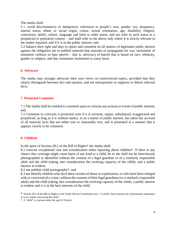The media shall:

5.1. avoid discriminatory or denigratory references to people's race, gender, sex, pregnancy, marital status, ethnic or social origin, colour, sexual orientation, age, disability, religion, conscience, belief, culture, language and birth or other status, and not refer to such status in a prejudicial or pejorative context – and shall refer to the above only where it is strictly relevant to the matter reported, and if it is in the public interest; and

5.2 balance their right and duty to report and comment on all matters of legitimate public interest against the obligation not to publish material that amounts to propaganda for war, incitement of imminent violence or hate speech – that is, advocacy of hatred that is based on race, ethnicity, gender or religion, and that constitutes incitement to cause harm.

#### **6. Advocacy**

The media may strongly advocate their own views on controversial topics, provided that they clearly distinguish between fact and opinion, and not misrepresent or suppress or distort relevant facts.

#### **7. Protected Comment**

7.1 The media shall be entitled to comment upon or criticise any actions or events of public interest; and

7.2 Comment or criticism is protected even if it is extreme, unjust, unbalanced, exaggerated and prejudiced, as long as it is without malice, is on a matter of public interest, has taken fair account of all material facts that are either true or reasonably true, and is presented in a manner that it appears clearly to be comment.

#### **8. Children**

In the spirit of Section 28.2 of the Bill of Rights\* the media shall:

8.1 exercise exceptional care and consideration when reporting about children\*. If there is any chance that coverage might cause harm of any kind to a child, he or she shall not be interviewed, photographed or identified without the consent of a legal guardian or of a similarly responsible adult and the child (taking into consideration the evolving capacity of the child); and a public interest is evident;

8.2 not publish child pornography\*; and

8.3 not identify children who have been victims of abuse or exploitation, or who have been charged with or convicted of a crime, without the consent of their legal guardians (or a similarly responsible adult) and the child (taking into consideration the evolving capacity of the child), a public interest is evident and it is in the best interests of the child.

\* A "child" is a person under the age of 18 years.

<sup>\*</sup> Section 28.2 of the Bill of Rights in the South African Constitution says: "A child's best interests are of paramount importance in every matter concerning the child."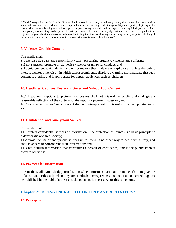\* Child Pornography is defined in the Film and Publications Act as: "Any visual image or any description of a person, real or simulated, however created, who is or who is depicted or described as being, under the age of 18 years, explicitly depicting such a person who is or who is being depicted as engaged or participating in sexual conduct; engaged in an explicit display of genitals; participating in or assisting another person to participate in sexual conduct which, judged within context, has as its predominant objective purpose, the stimulation of sexual arousal in its target audience or showing or describing the body or parts of the body of the person in a manner or circumstance which, in context, amounts to sexual exploitation."

## **9. Violence, Graphic Content**

The media shall:

9.1 exercise due care and responsibility when presenting brutality, violence and suffering;

9.2 not sanction, promote or glamorise violence or unlawful conduct; and

9.3 avoid content which depicts violent crime or other violence or explicit sex, unless the public interest dictates otherwise – in which case a prominently displayed warning must indicate that such content is graphic and inappropriate for certain audiences such as children.

#### **10. Headlines, Captions, Posters, Pictures and Video / Audi Content**

10.1 Headlines, captions to pictures and posters shall not mislead the public and shall give a reasonable reflection of the contents of the report or picture in question; and 10.2 Pictures and video / audio content shall not misrepresent or mislead nor be manipulated to do so.

#### **11. Confidential and Anonymous Sources**

The media shall:

11.1 protect confidential sources of information – the protection of sources is a basic principle in a democratic and free society;

11.2 avoid the use of anonymous sources unless there is no other way to deal with a story, and shall take care to corroborate such information; and

11.3 not publish information that constitutes a breach of confidence, unless the public interest dictates otherwise.

#### **12. Payment for Information**

The media shall avoid shady journalism in which informants are paid to induce them to give the information, particularly when they are criminals – except where the material concerned ought to be published in the public interest and the payment is necessary for this to be done.

## **Chapter 2: USER-GENERATED CONTENT AND ACTIVITIES\***

## **13. Principles**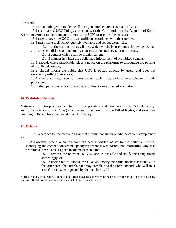The media:

13.1 are not obliged to moderate all user-generated content (UGC) in advance;

13.2 shall have a UGC Policy, consistent with the Constitution of the Republic of South Africa, governing moderation and/or removal of UGC or user profiles posted;

13.3 may remove any UGC or user profile in accordance with their policy;

13.4 must make their policy publicly available and set out clearly the:

13.4.1 authorisation process, if any, which would-be users must follow, as well as any terms, conditions and indemnity clauses during such registration process;

13.4.2 content which shall be prohibited; and

13.4.3 manner in which the public may inform them of prohibited content;

13.5 should, where practicable, place a notice on the platforms to discourage the posting of prohibited content;

13.6 should inform the public that UGC is posted directly by users, and does not necessarily reflect their views;

13.7 shall encourage users to report content which may violate the provisions of their policy; and

13.8 shall particularly carefully monitor online forums directed at children.

#### **14. Prohibited Content**

Material constitutes prohibited content if it is expressly not allowed in a member's UGC Policy, and in Section 5.2 of this Code (which refers to Section 16 of the Bill of Rights, and overrules anything to the contrary contained in a UGC policy).

#### **15. Defence**

15.1 It is a defence for the media to show that they did not author or edit the content complained of;

15.2 However, where a complainant has sent a written notice to the particular media, identifying the content concerned, specifying where it was posted, and motivating why it is prohibited (see Clause 14); the media must then either:

> 15.2.1 remove the relevant UGC as soon as possible and notify the complainant accordingly; or

> 15.2.2 decide not to remove the UGC and notify the complainant accordingly. In the latter case, the complainant may complain to the Press Ombud, who will treat it as if the UGC was posted by the member itself.

\* This section applies where a complaint is brought against a member in respect of comments and content posted by users on all platforms in controls and on which it distributes its content.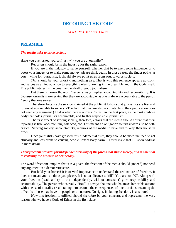## **DECODING THE CODE**

#### *SENTENCE BY SENTENCE*

#### **PREAMBLE**

#### *The media exist to serve society.*

Have you ever asked yourself just *why* you are a journalist?

Reporters should be in the industry for the right reason.

If you are in the industry to serve yourself, whether that be to exert some influence, or to boost your image, or to make some money, please think again. In those cases, the finger points at you – while for journalists, it should always point *away* from you, towards society.

*That* should be your priority, and nothing else. That is why this sentence appears up-front, and serves as an introduction to everything else following in the preamble and in the Code itself. The public interest is the be-all and end-all of good journalism.

But there is more – the word "serve" always implies accountability and responsibility. It is *because* journalists are serving that they are accountable, as one is always accountable to the person / entity that one serves.

Therefore, because the service is aimed at the public, it follows that journalists are first and foremost accountable to society. (The fact that they are also accountable to their publication does not need any argument.) That is why there is a Press Council in the first place, as the most credible body that holds journalists accountable, and further responsible journalism.

The first aspect of serving society, therefore, entails that the media should ensure that their reporting is true, accurate, fair, balanced, etc. This means an obligation to turn inwards, to be selfcritical. Serving society, accountability, requires of the media to have and to keep their house in order.

Once journalists have grasped this fundamental truth, they should be more inclined to act ethically and less prone to causing people unnecessary harm – a vital issue that I'll soon address in more detail.

#### *Their freedom provides for independent scrutiny of the forces that shape society, and is essential to realising the promise of democracy.*

The word "freedom" implies that it is a given; the freedom of the media should (indeed) not need any argument in a democratic state.

But hold your horses! It is of vital importance to understand the real nature of freedom. It does not mean you can do as you please. It is not a "licence to kill". You are not 007. Along with your freedom (read: ability to act independently, without constraint) goes responsibility and accountability. The person who is really "free" is always the one who balances her or his actions with a sense of morality (read: taking into account the consequences of one's actions, meaning the effect that those may have on people or on nature). No right, including freedom, is absolute!

*How* this freedom is utilized should therefore be your concern, and represents the very reason why we have a Code of Ethics in the first place.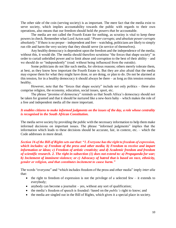The other side of the coin (serving society) is as important. The mere fact that the media exist to serve society, which implies accountability towards the public with regards to their own operations, also means that our freedom should hold *the powers that be* accountable.

The media are not called the Fourth Estate for nothing, as scrutiny is vital to keep these powers in check. Remember what Lord Acton said: "*Power corrupts; and absolute power corrupts absolutely*." If there is no proper – independent and free – watchdog, politicians are likely to simply run rife and harm the very society that they should serve (in service of themselves).

Any healthy democracy is dependent upon the freedom and the independence of the media; without this, it would die. The media should therefore scrutinise "the forces that shape society" in order to curtail unbridled power and to limit abuse and corruption to the best of their ability – and we should do so "independently" (read: without being influenced from the outside).

Some politicians do not like such media, for obvious reasons; others merely tolerate them, at best, as they know how important the Fourth Estate is. But they are also afraid that the media may expose them for what they might have done, or are doing, or plan to do. Do not be alarmed at this tension, for in a healthy democracy it should always be there – as long as this tension remains healthy.

However, note that the "forces that shape society" include not only politics – these also comprise religion, the economy, education, social issues, sport, etc.

The phrase "promise of democracy" reminds us that South Africa's democracy should not be taken for granted and that it should be nurtured like a new-born baby – which makes the role of a free and independent media all the more important.

#### *It enables citizens to make informed judgments on the issues of the day, a role whose centrality is recognised in the South African Constitution.*

The media serve society by providing the public with the necessary information to help them make informed decisions on important issues. The phrase "informed judgments" implies that the information which leads to these decisions should be accurate, fair, in context, etc. – which the Code addresses in more detail.

*Section 16 of the Bill of Rights sets out that: "1. Everyone has the right to freedom of expression, which includes: a) Freedom of the press and other media; b) Freedom to receive and impart information or ideas; c) Freedom of artistic creativity; and d) Academic freedom and freedom of scientific research. 2. The right in subsection (1) does not extend to: a) Propaganda for war; b) Incitement of imminent violence; or c) Advocacy of hatred that is based on race, ethnicity, gender or religion, and that constitutes incitement to cause harm."*

The words "everyone" and "which includes freedom of the press and other media" imply *inter alia* that:

- the right to freedom of expression is not the privilege of a selected few  $-$  it extends to everybody;
- anybody can become a journalist yes, without any sort of qualification;
- the media's freedom of speech is founded / based on the *public's* right to know; and
- the media are singled out in the Bill of Rights, which gives it a special place in society.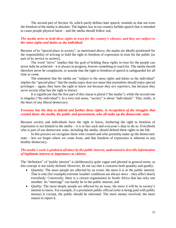The second part of Section 16, which partly defines hate speech, reminds us that not even the freedom of the media is absolute. The highest law in our country forbids speech that is intended to cause people physical harm – and the media should follow suit.

#### *The media strive to hold these rights in trust for the country's citizens; and they are subject to the same rights and duties as the individual.*

Because of its "special place in society", as mentioned above, the media are ideally positioned for the responsibility of striving to hold the right to freedom of expression in trust for the public (as part of its service to society).

The word "strive" implies that the goal of holding these rights in trust for the people can never fully be achieved – it is always in progress, forever something to reach for. The media should therefore never be complacent, or assume that the right to freedom of speech is safeguarded for all time to come.

The statement that the media are "subject to the same rights and duties as the individual" implies the "special place" that the media enjoy does not mean that journalists should enjoy special privileges – again, they have the right to know *not because they are reporters, but because they serve society* (that has the right to know).

It is significant that the first part of this clause is plural ("the media"), while the second one is singular ("the individual"). In a very real sense, "society" is about "individuals". That, really, is the heart of any liberal democracy.

#### *Everyone has the duty to defend and further these rights, in recognition of the struggles that created them: the media, the public and government, who all make up the democratic state.*

Because society and individuals have the right to know, furthering the right to freedom of expression is not limited to the media – it is in fact each and everyone's *duty* to do so. Everybody who is part of our democratic state, including the media, *should* defend these rights to the hilt.

In this process we recognise those who created and who presently make up the democratic state – lest we forget where we come from, and that freedom of expression is inherent to any healthy democracy.

#### *The media's work is guided at all times by the public interest, understood to describe information of legitimate interest or importance to citizens.*

The "definition" of "public interest" is (deliberately) quite vague and phrased in general terms, as this concept is not easily defined. However, let me say that it concerns both quantity and quality:

- *Quantity*: The more people are affected by an event, the more it is in the public interest. That is why (for example) extreme weather conditions are always news – they affect nearly everybody. Conversely, there is a certain organisation in South Africa that has only one member. Its "meetings" can hardly be in the public interest; and
- *Quality:* The more deeply people are affected by an issue, the more it will be in society's interest to know. For example, if a prominent public official (who is being paid with public money) is corrupt, the public should be informed. The more money involved, the more reason to report it.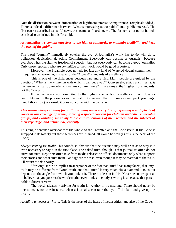Note the distinction between "information of legitimate interest *or* importance" (emphasis added). There is indeed a difference between "what is interesting to the public" and "public interest". The first can be described as "soft" news, the second as "hard" news. The former is not out of bounds as it is also enshrined in this Preamble.

#### *As journalists we commit ourselves to the highest standards, to maintain credibility and keep the trust of the public.*

The word "commit" immediately catches the eye: A journalist's work has to do with duty, obligation, dedication, devotion. Commitment. Everybody can become a journalist, because everybody has the right to freedom of speech – but not everybody can become a good journalist. Only those reporters who are *committed* to their work would be good reporters.

Moreover, the Preamble does not ask for just any kind of (watered-down) commitment – it requires the *maximum*; it speaks of the "*highest*" standards of excellence.

This is one of the differences between law and ethics. Many people are guided by the question, "What is the *minimum* with which I can get away?" Conversely, ethics asks: "What is the *maximum* I can do in order to meet my commitment?" Ethics aims at the "highest" of standards, not the "lowest".

If the media are not committed to the highest standards of excellence, it will lose its credibility and in the process forfeit the trust of its readers. Then you may as well pack your bags. Credibility (trust) is earned; it does not come with the package.

#### *This means always striving for truth, avoiding unnecessary harm, reflecting a multiplicity of voices in our coverage of events, showing a special concern for children and other vulnerable groups, and exhibiting sensitivity to the cultural customs of their readers and the subjects of their reportage, and acting independently.*

This single sentence overshadows the whole of the Preamble and the Code itself. If the Code is scrapped in its totality but these sentences are retained, all would be well (as this is the heart of the Code).

*Always striving for truth:* This sounds so obvious that the question may well arise as to why it is even necessary to say it in the first place. The naked truth, though, is that journalists often do not strive for truth. Reporters often take from media releases or official documents only what supports their stories and what suits them – and ignore the rest, even though it may be material to the issue. I'll return to this shortly.

"Striving" for truth implies an acceptance of the fact that "truth" has many facets, that "my" truth may be different from "your" truth, and that "truth" is very much like a diamond – its colour depends on the angle from which you look at it. There is a lesson in this: Never be so arrogant as to believe that you possess the whole truth; never think somebody is wrong just because that person holds a different view.

The word "always" (striving for truth) is weighty in its meaning. There should never be one moment, not one instance, when a journalist can take the eye off the ball and give up the dream.

*Avoiding unnecessary harm:* This is the heart of the heart of media ethics, and also of the Code.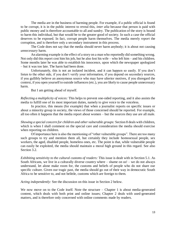The media are in the business of harming people. For example, if a public official is found to be corrupt, it is in the public interest to reveal this, *inter alia* because that person is paid with public money and is therefore accountable to all and sundry. The publication of the story is bound to harm this individual, but that would be to the greater good of society. In such a case the official deserves to be exposed. In fact, corrupt people harm themselves. The media merely *report* the corruption, and is therefore only a secondary instrument in this process.

The Code does not say that the media should never harm anybody; it is about not causing *unnecessary* harm.

An alarming example is the effect of a story on a man who reportedly did something wrong. Not only did this report cost him his job, but he also lost his wife – who left him – and his children. Some months later he was able to establish his innocence, upon which the newspaper apologized – but it was too late. The harm had been done.

Unfortunately, this is not an isolated incident, and it can happen so easily. If you don't listen to the other side, if you don't verify your information, if you depend on secondary sources, if you gullibly believe an anonymous source who may have ulterior motives, if you disregard the context, if you open yourself to outside influences (etc.), you are likely to cause people unnecessary harm.

But I am getting ahead of myself.

*Reflecting a multiplicity of voices:* This helps to prevent one-sided reporting, and it also assists the media to fulfill one of its most important duties, namely to give voice to the voiceless.

In practice, this means (for example) that when a journalist reports on specific issues or about a minority group in society, the views of those concerned should be reported. For example, all too often it happens that the media report about women – but the sources they use are all male.

*Showing a special concern for children and other vulnerable groups:* Section 8 deals with children, which is when I shall comment on the special care and consideration the media should exercise when reporting on children.

Of importance here is also the mentioning of "other vulnerable groups". There are too many such groups to try and mention them all, but certainly they include homosexual people, sex workers, the aged, disabled people, homeless ones, etc. The point is that, while vulnerable people can easily be exploited, the media should maintain a moral high ground in this regard. See also Section 3.2.

*Exhibiting sensitivity to the cultural customs of readers:* This issue is dealt with in Section 5.1. As South Africans, we live in a culturally diverse country where – shame on us! – we do not always understand, let alone make room for, the customs and beliefs of people who do not share our specific culture. Given our tragic past, the media should go out of their way in democratic South Africa to be sensitive to, and not belittle, customs which are foreign to them.

*Acting independently:* See the discussion on this issue in Section 2 below.

We now move on to the Code itself. Note the structure – Chapter 1 is about media-generated content, which deals with both print and online issues; Chapter 2 deals with used-generated matters, and is therefore only concerned with online comments made by readers.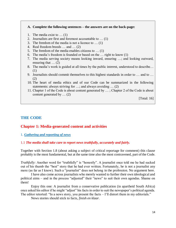#### **A. Complete the following sentences – the answers are on the back-page:**

- 1. The media exist to … (1)
- 2. Journalists are first and foremost accountable to … (1)
- 3. The freedom of the media is not a licence to … (1)
- 4. Real freedom breeds … and … (2)
- 5. The freedom of the media enables citizens to … (1)
- 6. The media's freedom is founded or based on the … right to know (1)
- 7. The media serving society means looking inward, ensuring …; and looking outward, ensuring that … (2)
- 8. The media's work is guided at all times by the public interest, understood to describe… (1)
- 9. Journalists should commit themselves to this highest standards in order to … and to … (2)
- 10. The heart of media ethics and of our Code can be summarized in the following statements: always striving for …; and always avoiding … (2)
- 11. Chapter 1 of the Code is about content generated by … ; Chapter 2 of the Code is about content generated by … (2)

[Total: 16]

#### **THE CODE**

#### **Chapter 1: Media-generated content and activities**

#### 1. *Gathering and reporting of news*

#### 1.1 *The media shall take care to report news truthfully, accurately and fairly.*

Together with Section 1.8 (about asking a subject of critical reportage for comment) this clause probably is the most fundamental, but at the same time also the most contravened, part of the Code.

*Truthfully:* Another word for "truthfully" is "honestly". A journalist once told me he had sucked out of his thumb the "best" story that he had ever written. Fortunately, he is not a journalist any more (as far as I know). Such a "journalist" does not belong in the profession. No argument here.

I have also come across journalists who merely wanted to further their own ideological and political aims – and in the process "adjusted" their "news" to suit their own agendas. Shame on them!

Enjoy this one: A journalist from a conservative publication (in apartheid South Africa) once asked his editor if he might "adjust" his facts in order to suit the newspaper's political agenda. The editor retorted: "In a news story, you present the facts – I'll distort them in my editorials."

News stories should stick to facts, *finish en klaar*.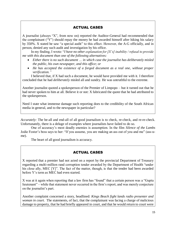## ACTUAL CASES

A journalist (always "X", from now on) reported the Auditor-General had recommended that the complainant ("Y") should repay the money he had awarded himself after hiking his salary by 350%. X stated he saw "a special audit" to this effect. However, the A-G officially, and in person, denied any such audit and investigation by his office.

 In my finding, I wrote: "*I have no other explanation for [X's] inability / refusal to provide me with this document than one of the following alternatives:*

- *Either there is no such document … in which case the journalist has deliberately misled the public, his own newspaper, and this office; or*
- *He has accepted the existence of a forged document as a real one, without proper verification."*

 I believed that, if X had such a document, he would have provided me with it. I therefore concluded that he had *deliberately* misled all and sundry. He was untruthful to the extreme.

Another journalist quoted a spokesperson of the Premier of Limpopo – but it turned out that he had never spoken to him at all. Believe it or not: X fabricated the quote that he had attributed to the spokesperson.

Need I state what immense damage such reporting does to the credibility of the South African media in general, and to the newspaper in particular?

*Accurately:* The be-all and end-all of all good journalism is to check, re-check, and re-re-check. Unfortunately, there is a deluge of examples where journalists have failed to do so.

One of accuracy's most deadly enemies is assumption. In the film *Silence of the Lambs*  Jodie Foster's boss says to her: "If you assume, you are making an ass out of you and me" (ass-ume).

The heart of all good journalism is accuracy.

## ACTUAL CASES

X reported that a premier had not acted on a report by the provincial Department of Treasury regarding a multi-million rand corruption tender awarded by the Department of Health "under his close ally, MEC [Y]". The fact of the matter, though, is that the tender had been awarded before Y's term as MEC had even started.

X was at it again when reporting that a law firm has "found" that a certain person was a "Gupta lieutenant" – while that statement never occurred in the firm's report, and was merely conjecture on the journalist's part.

Another complaint concerned a story, headlined: *Kings Beach fight lands radio presenter and woman in court.* The statements, of fact, that the complainant was facing a charge of malicious damage to property, that he had briefly appeared in court, and that he would return to court were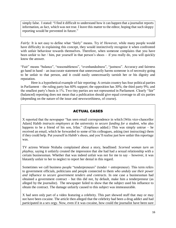simply false. I stated: "I find it difficult to understand how it can happen that a journalist reports information, as fact, which was not true. I leave this matter to the editor, hoping that such sloppy reporting would be prevented in future."

*Fairly:* It is not easy to define what "fairly" means. Try it! However, while many people would have difficulty in explaining this concept, they would instinctively recognize it when confronted with unfair behaviour towards themselves. Therefore, when someone complains that you have been unfair to her / him, put yourself in that person's shoes – if you really do, you will quickly know the answer.

"Fair" means "balance", "reasonableness", "evenhandedness", "justness". Accuracy and fairness go hand in hand – an inaccurate statement that unnecessarily harms someone is of necessity going to be unfair to that person, and it could easily unnecessarily tarnish her or his dignity and reputation.

Here is a hypothetical example of fair reporting: A certain country has four political parties in Parliament – the ruling party has 60% support; the opposition has 30%; the third party 9%; and the smallest party's basis is 1%. Two tiny parties are not represented in Parliament. Clearly "fair" (balanced) reporting does not mean that a publication should give equal coverage to all six parties (depending on the nature of the issue and newsworthiness, of course).

## ACTUAL CASES

X reported that the newspaper "has seen email correspondence in which [Wits vice-chancellor Adam] Habib *instructs employees* at the university *to secure funding for a student*, who also happens to be a friend of his son, Irfan." (Emphases added.) This was simply untrue – he received an email, which he forwarded to some of his colleagues, asking (not instructing) them if they could help. Put yourself in Habib's shoes, and you'll realise just how unfair this reportage was.

TV actress Winnie Ntshaba complained about a story, headlined: *Scorned woman turn on playboy,* saying it unfairly created the impression that she had had a sexual relationship with a certain businessman. Whether that was indeed unfair was not for me to say – however, it was blatantly unfair to her to neglect to report her denial in this regard.

Sometimes we call business people "tenderpreneurs" (tender + entrepreneur). This term refers to government officials, politicians and people connected to them *who unduly use their power and influence to secure government tenders and contracts*. In one case a businessman had obtained a government contract – but this did not, by default, make him a tenderpreneur (as alleged by the journalist). The newspaper failed to show that the subject used his influence to obtain the contract. The damage unfairly caused to this subject was immeasurable.

X had seen only part of a video featuring a celebrity. This part showed stuff that may or may not have been cocaine. The article then alleged that the celebrity had been a drug addict and had participated in a sex orgy. Now, even if it was cocaine, how could the journalist have been sure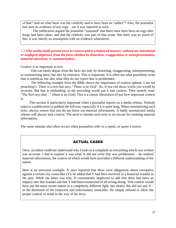of that? And on what basis was the celebrity said to have been an "addict"? Also, the journalist had seen no evidence of any orgy – yet it was reported as such.

The publication argued the journalist "assumed" that there must have been an orgy after drugs had been taken, and that the celebrity was part of that scene. But there was no proof of this; it was merely an assumption with no evidence whatsoever.

1.2 *[The media shall] present news in context and in a balanced manner, without any intentional or negligent departure from the facts whether by distortion, exaggeration or misrepresentation, material omissions, or summarization.*

Context is as important as text.

One can easily depart from the facts not only by distorting, exaggerating, misrepresenting, or summarising them, but also by omission. This is important: It is often not *what* journalists write that is unethical, but also what they *do not report* that is problematic.

The following example from the Bible shows the importance of context (please, I am not preaching!): There is a text that says, "There is no God". So, if you cite those words you would be accurate. But that is misleading, as the preceding words put it into context. They namely read: "The fool says that…" (there is no God). This is a classic illustration of just how important context is.

 This section is particularly important when a journalist reports on a media release. Nobody expects a publication to publish the full text, especially if it is quite long. When summarizing such texts, always ensure that you do not leave out material information. A badly summarized media release will always lack context. The need to shorten such texts is no excuse for omitting material information.

The same mistake also often occurs when journalists refer to a report, or quote a source.

## ACTUAL CASES

Once, an editor could not understand why I took on a complaint as everything which was written was accurate. I had to explain it was what X *did not write* that was problematic – he omitted material information, the context of which would have provided a different understanding of the matter.

Here is an atrocious example: X once reported that there were allegations about corruption against a certain city councillor (Y); he added that Y had been involved in a financial scandal in the past. While the latter was true, X conveniently neglected to add that there had been an enquiry into that scandal and that Y had been exonerated of all wrong-doing. This context would have put the more recent matter in a completely different light, but clearly this did not suit  $X$ to the detriment of the (innocent and unfortunate) councillor. He simply refused to allow the proper context to stand in the way of his story.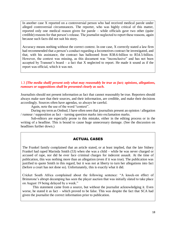In another case X reported on a controversial person who had received medical parole under alleged controversial circumstances. The reporter, who was highly critical of this matter, reported only one medical reason given for parole – while officials gave two other (quite credible) reasons for that person's release. The journalist neglected to report these reasons, again because such facts did not suit his story.

Accuracy means nothing without the correct context. In one case, X correctly stated a law firm had recommended that a person's conduct regarding a locomotives contract be investigated, and that, with his assistance, the contract has ballooned from R38.6-billion to R54.5-billion. However, the context was missing, as this document was "inconclusive" and has not been accepted by Transnet's board – a fact that X neglected to report. He made it sound as if the report was official, which it was not.

#### 1.3 *[The media shall] present only what may reasonably be true as fact; opinions, allegations, rumours or suppositions shall be presented clearly as such.*

Journalists should not present information as fact that cannot reasonably be true. Reporters should always make sure that their sources, and their information, are credible, and make their decisions accordingly. Sources often have agendas, so always be careful.

Again, note the use of the word "context".

During my term as Ombud, I have often seen that journalists present an opinion / allegation / rumour / supposition as fact – turning question marks into exclamation marks.

Sub-editors are especially prone to this mistake, either in the editing process or in the writing of a headline. This is bound to cause huge unnecessary damage. (See the discussion on headlines further down.)

#### ACTUAL CASES

The Frankel family complained that an article stated, or at least implied, that the late Sidney Frankel had raped Marinda Smith (53) when she was a child – while he was never charged or accused of rape, nor did he ever face criminal charges for indecent assault. At the time of publication, this was nothing more than an allegation (even if it was true). The publication was justified to quote Smith in this regard, but it was not at liberty to turn her allegations into fact (before a court has not done so). Unfortunately, this is exactly what it did.

Cricket South Africa complained about the following sentence: "A knock-on effect of Brimstone's abrupt decamping has seen the player auction that was initially slated to take place on August 19 being delayed by a week."

This statement came from a source, but without the journalist acknowledging it. Even worse, he stated it as fact – which proved to be false. This was despite the fact that SCA had given the journalist the correct information prior to publication.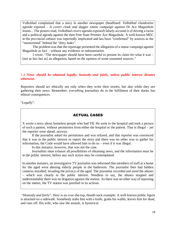Volksblad complained that a story in another newspaper (headlined: *Volksblad clandestine agenda exposed – A covert cloak and dagger smear campaign against Dr Ace Magashule looms...* The posters read*, Volksblad covert agenda exposed*) falsely accused it of driving a racist and a political agenda against the then Free State Premier Ace Magashule. A well-known MEC in the provincial cabinet was reportedly implicated and has been "confirmed" by sources as the "mastermind" behind the "dirty leaks".

The problem was that the reportage presented the allegation of a smear campaign against Magashule as fact – without any evidence or substantiation.

I wrote: "The newspaper should have been careful to present its claim for what it was – [not as fact but as] an allegation, based on the opinion of some unnamed sources."

#### 1.4 *News should be obtained legally, honestly and fairly, unless public interest dictates otherwise.*

Reporters should act ethically not only when they write their stories, but also while they are gathering their news. Remember, *everything* journalists do in the fulfilment of their duties has ethical consequences.

"*Legally*":

## ACTUAL CASES

X wrote a story about homeless people who had TB. He went to the hospital and took a picture of such a patient, without permission from either the hospital or the patient. That is illegal – yet the reporter went ahead, anyway.

 If the journalist asked for permission and was refused, and that reporter was convinced that it was in the public interest to report the story and there was no other way to gather his information, the Code would have allowed him to do so – even if it was illegal.

In this instance, however, that was not the case.

 Journalists must exhaust all possibilities of obtaining news, and the information must be in the public interest, before any such action may be contemplated.

In another instance, an investigative TV journalist was informed that members of staff at a home for the aged were abusing elderly people in the bathroom. The journalist then had hidden cameras installed, invading the privacy of the aged. The journalist recorded and aired the abuses – which was clearly in the public interest. Needless to say, the abuses stopped and understandably there was no litigation against the station. As there was no other way of reporting on the matter, the TV station was justified in its actions.

"*Honestly and fairly*": Here is an over-the-top, thumb-suck example: A well-known public figure is attacked on a sidewalk. Somebody stabs him with a knife, grabs his wallet, leaves him for dead, and runs off. His wife, who saw the assault, is hysterical.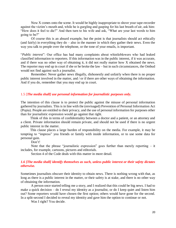Now X comes onto the scene. It would be highly inappropriate to shove your tape-recorder against the victim's mouth and, while he is gurgling and gasping for his last breath of air, ask him: "How does it feel to die?" And then turn to his wife and ask, "What are your last words to him going to be?"

Of course this is an absurd example, but the point is that journalists should act ethically (and fairly) in everything they do – also in the manner in which they gather their news. Even the way you talk to people over the telephone, or the tone of your emails, is important.

"*Public interest*": Our office has had many complaints about whistleblowers who had leaked classified information to reporters. If this information was in the public interest, if it was accurate, and if there was no other way of obtaining it, it did not really matter how X obtained the news. The reporter may end up in court if she or he broke the law – but in such circumstances, the Ombud would not find against such a journalist.

Remember: Never gather news illegally, dishonestly and unfairly when there is no proper public interest involved in the matter, and / or if there are other ways of obtaining the information. And if you do, remember that you may end up in court.

#### 1.5 [*The media shall] use personal information for journalistic purposes only.*

The intention of this clause is to protect the public against the misuse of personal information gathered by journalists. This is in line with the (envisaged) Prevention of Personal Information Act (Popia). People are entitled to their privacy, and the use of personal information for purposes other than for journalistic expression would go against that right.

 Think of this in terms of confidentiality between a doctor and a patient, or an attorney and a client. Private information should remain private, and should not be used if there is no urgent public interest in the matter.

 This clause places a large burden of responsibility on the media. For example, it may be tempting to "impress" you friends or family with inside information, or to use some data for personal gain.

Don't!

Note that the phrase "journalistic expression" goes further than merely reporting – it includes, for example, cartoons, pictures and editorials.

Section 4 of the Code deals with this matter in more detail.

#### *1.6 [The media shall] identify themselves as such, unless public interest or their safety dictates otherwise.*

Sometimes journalists obscure their identity to obtain news. There is nothing wrong with that, as long as there is a public interest in the matter, or their safety is at stake, and there is no other way of obtaining the information.

A person once started telling me a story, and I realized that this could be big news. I had to make a quick decision – do I reveal my identity as a journalist, or do I keep quiet and listen him out? Some reporters would have chosen the first option; others would have gone for the second. In a split-second I decided to reveal my identity and gave him the option to continue or not.

Was I right? You decide.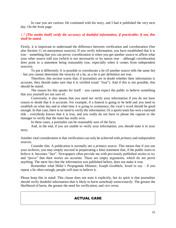In case you are curious: He continued with his story, and I had it published the very next day. On the front page.

#### 1.7 *[The media shall] verify the accuracy of doubtful information, if practicable; if not, this shall be stated.*

Firstly, it is important to understand the difference between verification and corroboration (See also Section 11 on anonymous sources). If you verify information, you have established that it is true – something that you can prove; corroboration is when you get another source to affirm what your other source told you (which is not necessarily or by nature true – although corroboration does point to a statement being reasonably true, especially when it comes from independent sources).

To put it differently: It is possible to corroborate a lie (if another source tells the same lie) – but you cannot determine the veracity of a lie, as a lie is per definition not true.

Therefore, this section warns that, if journalists are in doubt whether their information is accurate, they should make sure that it is verified (read: "true"). And if this is not possible, this should be stated.

The reason for this speaks for itself – you cannot expect the public to believe something that you yourself are not sure of.

Conversely, it also means that you need not verify your information if you do not have reason to doubt that it is accurate. For example, if a funeral is going to be held and you need to establish on what day and at what time it is going to commence, the vicar's word should be good enough. In that case, there is no need to verify the information. Or a sports team has won a national title – everybody knows that it is true, and you really do not have to phone the captain or the manager to verify that the team has really won.

In these cases, a journalist can be reasonably sure of the facts.

And, in the end, if you are unable to verify your information, you should state it in your story.

Another vital consideration is that verification can only be achieved with *primary* and *independent*  sources.

Consider this: A publication is normally not a *primary* source. This means that if you use your archives, you may simply succeed in perpetrating a false statement that, if the public starts to believe it, becomes "fact". Newspapers often provide me with previously published stories to try and "prove" that their stories are accurate. These are empty arguments, which do not prove anything. The mere fact that the information was published before, does not make it true.

Remember what Hitler's Propaganda Minister, Joseph Goebbels, loved to say – if you repeat a lie often enough, people will start to believe it.

Please keep this in mind: This clause does not state it explicitly, but its spirit is that journalists should verify doubtful information *that is likely to harm somebody unnecessarily*. The greater the likelihood of harm, the greater the need for verification; and *vice versa*.

## ACTUAL CASE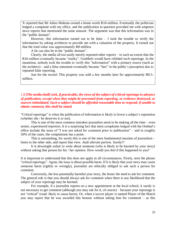X reported that Mr Julius Malema owned a home worth R16-million. Eventually the politician lodged a complaint with my office, and the publication in question provided me with umpteen news reports that mentioned the same amount. The argument was that this information was in the "public domain".

However, this information turned out to be false  $-$  I took the trouble to verify the information by asking architects to provide me with a valuation of the property. It turned out that the total value was approximately R8-million.

A lie can also be in the "public domain".

 Clearly, the media all too easily merely repeated other reports – to such an extent that the R16-million eventually became "reality". Goebbels would have relished such reportage. In the meantime, nobody took the trouble to verify this "information" with a primary source (such as the architect) – and a false statement eventually became "fact" in the public's perception due to repeated false reporting.

 Just for the record: This property was sold a few months later for approximately R8.5 million.

#### 1.8 *[The media shall] seek, if practicable, the views of the subject of critical reportage in advance of publication, except when they might be prevented from reporting, or evidence destroyed, or sources intimidated. Such a subject should be afforded reasonable time to respond; if unable to obtain comment, this shall be stated.*

"Critical reportage" is when the publication of information is likely to lower a subject's reputation (whether she / he deserves it or not).

This is one of the most common mistakes journalists seem to be making all the time – even senior, experienced reporters. It is a surprising fact that most complaints lodged with the Ombud's office include the issue of "I was not asked for comment prior to publication" – and in roughly 50% of the cases, the complainant has a point.

This is astonishing, for surely this is one of the most fundamental maxims of journalism – listen to the other side, and report that view. *Audi alteram partem*. Surely!?

It is downright unfair to write about someone (who is likely to be harmed by your story) without asking that person for his / her opinion. How would you feel if this happened to you?

It is important to understand that this does not apply in all circumstances. Firstly, note the phrase "critical reportage". Again, the issue is about possible harm. If it is likely that your story may cause someone harm (rightly or wrongly), journalist are ethically obliged to ask such a person for comment.

Conversely, the less potentially harmful your story, the lesser the need to ask for comment. The general rule is that you should always ask for comment when there is any likelihood that the subject of your reportage may be harmed.

For example, if a journalist reports on a new appointment at the local school, it surely is not necessary to get comment (although you may ask for it, of course) – because your reportage is not "critical" (read: likely to cause harm). Or, when a soccer player is named Player of the Match you may report that he was awarded this honour without asking him for comment – as this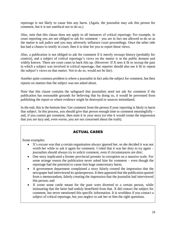reportage is not likely to cause him any harm. (Again, the journalist may ask this person for comment, but it is not unethical not to do so.)

Also, note that this clause does not apply to all instances of critical reportage. For example, in court reporting you are not obliged to ask for comment – you are in fact not allowed to do so as the matter is *sub judice* and you may adversely influence court proceedings. Once the other side has had a chance to testify in court, then it is time for you to report those views.

Also, a publication is not obliged to ask for comment if it merely recoups history (probably for context), and a subject of critical reportage's views on the matter is in the public domain and widely known. There are court cases to back this up. (However: If X sees it fit to recoup the past in which a subject was involved in critical reportage, that reporter should also see it fit to repeat the subject's views on that matter. Not to do so, would not be fair).

Another quite common problem is where a journalist in fact asks the subject for comment, but then reports on matters that the subject was not asked about.

Note that this clause contains the safeguard that journalists need not ask for comment if the publication has reasonable grounds for believing that by doing so, it would be prevented from publishing the report or where evidence might be destroyed or sources intimidated.

In the end, this is the bottom-line: Get comment from the person if your reporting is likely to harm that subject. In this process, you should give that person enough time to comment meaningfully – and, if you cannot get comment, then state it in your story (or else it would create the impression that you are lazy and, even worse, you are not concerned about the truth).

## ACTUAL CASES

Some examples:

- X's excuse was that a certain organisation always ignored her, so she decided it was not worth her while to ask it again for comment. I ruled that it was her duty to try again – journalists should always try to solicit comment, even if circumstances are dire;
- One story implicated a former provincial premier in corruption on a massive scale. For some strange reason the publication never asked him for comment – even though the reportage had the potential to cause him huge unnecessary harm;
- A government department complained a story falsely created the impression that the newspaper had interviewed its spokesperson. It then appeared that the publication quoted from a memorandum, falsely creating the impression that the journalist had interviewed this person; and
- X wrote some cattle meant for the poor were diverted to a certain person, while insinuating that the latter had unduly benefitted from that. X did contact the subject for comment, but never mentioned this specific information. It is worthless if you contact a subject of critical reportage, but you neglect to ask her or him the right questions.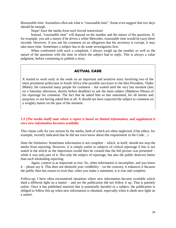*Reasonable time*: Journalists often ask what is "reasonable time". Some even suggest that two days should be enough.

Nope! Save the media from such forced restrictions!

Instead, "reasonable time" will depend on the number and the nature of the questions. If, for example, you ask a mayor if he drives a white Mercedes, reasonable time would be (say) three seconds. However, if you ask his comment on an allegation that his secretary is corrupt, it may take more time. Sometimes a subject has to do some investigation first.

When confronted with such a complaint, I always weigh up the number as well as the nature of the questions with the time in which the subject had to reply. This is always a value judgment, before continuing to publish a story.

## ACTUAL CASE

X started to work early in the week on an important and sensitive story involving two of the most prominent politicians in South Africa (the possible successor to the then President, Thabo Mbeki). He contacted many people for comment – but waited until the very last moment (late on a Saturday afternoon, shortly before deadline) to ask the main subject (Mathews Phosa) of his reportage for comment. The fact that he asked him so late amounted, for all intents and purposes, to not having asked him at all. X should not have expected the subject to comment on a weighty matter on the spur of the moment.

#### *1.9 [The media shall] state where a report is based on limited information, and supplement it once new information becomes available.*

This clause calls for two actions by the media, both of which are often neglected. (One editor, for example, recently indicated that he did not even know about this requirement in the Code...)

*State the limitation*: Sometimes information is not complete – which, in itself, should not stop the media from reporting. However, it is simply unfair to subjects of critical reportage if this is not stated in the article as the impression would then be created that the full picture was presented – while it was only part of it. Not only the subject of reportage, but also the public deserves better than such misleading reporting.

Again, context is as important as text. So, when information is incomplete, and you know it – please say it. This does not diminish your credibility – on the contrary, it enhances it because the public then has reason to trust that, when you make a statement, it is true and complete.

*Follow-up*: I have often encountered situations where new information became available which shed a different light on a matter – and yet the publication did not follow it up. That is patently unfair. Once it has published material that is potentially harmful to a subject, the publication is obliged to follow this up when new information is obtained, especially when it sheds new light on a matter.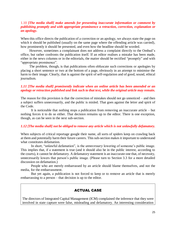#### 1.10 *[The media shall] make amends for presenting inaccurate information or comment by publishing promptly and with appropriate prominence a retraction, correction, explanation or an apology.*

When this office directs the publication of a correction or an apology, we always state the page on which it should be published (usually on the same page where the offending article was carried), how prominently it should be presented, and even how the headline should be worded.

 However, sometimes a complainant does not address a complaint directly to the Ombud's office, but rather confronts the publication itself. If an editor realises a mistake has been made, either in the news columns or in the editorials, the matter should be rectified "promptly" and with "appropriate prominence".

 The problem, though, is that publications often obfuscate such corrections or apologies by placing a short sentence or two at the bottom of a page, obviously in an attempt to minimise the harm to their image. Clearly, that is against the spirit of self-regulation and of good, sound, ethical journalism.

#### *1.11 [The media shall] prominently indicate when an online article has been amended or an apology or retraction published and link such to that text, while the original article may remain.*

The reason for this provision is that the correction of mistakes should not go unnoticed – and then a subject suffers unnecessarily, and the public is misled. That goes against the letter and spirit of the Code.

It is noticeable that nothing stops a publication from removing an inaccurate article – but nothing forces it to do so either. That decision remains up to the editor. There is one exception, though, as can be seen in the next sub-section.

#### *1.12 [The media shall] not be obliged to remove any article which is not unlawfully defamatory.*

When subjects of critical reportage google their name, all sorts of spiders keep on crawling back at them and potentially harm their future careers. This sub-section makes it important to understand what constitutes defamation.

In short, "unlawful defamation", is the *unnecessary* lowering of someone's public image. This implies that, if a statement is true (and it should also be in the public interest, according to the courts), it cannot be defamatory. A defamatory statement is an inaccurate one that, of necessity, unnecessarily lowers that person's public image. (Please turn to Section 3.3 for a more detailed discussion on defamation.)

People who are merely embarrassed by an article should blame themselves, and not the media, for the embarrassment.

But yet again, a publication is not forced to keep or to remove an article that is merely embarrassing to a person – that decision is up to the editor.

## ACTUAL CASE

The directors of Integrated Capital Management (ICM) complained the inference that they were involved in state capture were false, misleading and defamatory. An interesting consideration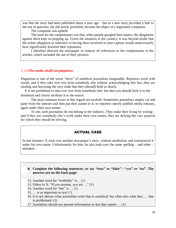was that the story had been published about a year ago – but as a new story provided a link to the one in question, the old article justifiably became the object of a legitimate complaint.

The complaint was upheld.

 The issue for the complainants was that, when people googled their names, the allegations against them kept on popping up. Given the situation in the country, it was beyond doubt that the unfair allegation or inference of having been involved in state capture would unnecessarily have significantly lowered their reputation.

 I therefore directed the newspaper to remove all references to the complainants in the articles, which included the use of their pictures.

#### 1.13 *[The media shall] not plagiarise.*

Plagiarism is one of the worst "faces" of unethical journalism imaginable. Reporters work with words, and if they take over text from somebody else without acknowledging this fact, they are stealing and betraying the very trade that they (should) hold so dearly.

It is not prohibited to take over text from somebody else, but then you should limit it to the minimum and clearly attribute it to the source.

The most common errors in this regard are twofold: Sometimes journalists simply cut and paste from the internet and then put their names to it; or reporters merely publish media releases, again under their own names.

To me, such journalists do not belong in the industry. They make their living by writing – and if they use somebody else's work under their own names, they are defying the very purpose for which they should be striving.

## ACTUAL CASE

In one instance, X took over another newspaper's story, without attribution, and restructured it under his own name. Unfortunately for him, he also took over the same spelling – and other – mistakes.

#### **B. Complete the following sentences; or say "true" or "false" / "yes" or "no". The answers are on the back-page:**

- 12. Another word for "truthfully" is… (1)
- 13. Editor to X: "If you assume, you are  $\ldots$ " (1)
- 14. Another word for "fair" is … (1)
- 15. … is as important as text (1)
- 16. It is not always what journalists write that is unethical, but often also what they … that is problematic (1)
- 17. Journalists should not present information as fact that cannot … (1)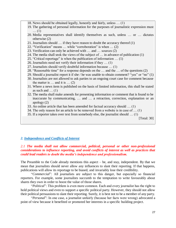- 18. News should be obtained legally, honestly and fairly, unless … (1)
- 19. The gathering of personal information for the purposes of journalistic expression must … (1)
- 20. Media representatives shall identify themselves as such, unless … or … dictates otherwise (2)
- 21. Journalists should … if they have reason to doubt the accuracy thereof (1)
- 22. "Verification" means … while "corroboration" is when … (2)
- 23. Verification can only be achieved with … and … sources (2)
- 24. The media shall seek the views of the subject of … in advance of publication (1)
- 25. "Critical reportage" is when the publication of information … (1)
- 26. Journalists need not verify their information if they … (1)
- 27. Journalists should verify doubtful information because … (1)
- 28. "Reasonable time" for a response depends on the … and the … of the questions (2)
- 29. Should a journalist report it if she / he was unable to obtain comment? "yes" or "no" (1)
- 30. Journalists are not allowed to ask parties to an ongoing court case for comment because the matter is  $\dots$  and it is  $\dots$  (2)
- 31. Where a news item is published on the basis of limited information, this shall be stated as such and  $\dots$  (1)
- 32. The media shall make amends for presenting information or comment that is found to be inaccurate by communicating, … and … a retraction, correction, explanation or an apology (2)
- 33. An online article that has been amended for factual accuracy should … (1)
- 34. The only reason for an article to be removed from a website is in case of … (1)
- 35. If a reporter takes over text from somebody else, the journalist should … (1)

[Total: 30]

#### *2. Independence and Conflicts of Interest*

#### *2.1 The media shall not allow commercial, political, personal or other non-professional considerations to influence reporting, and avoid conflicts of interest as well as practices that could lead readers to doubt the media's independence and professionalism.*

The Preamble to the Code already mentions this aspect  $-$  be, and stay, independent. By that we mean that journalists should never allow any influences to slant their reporting. If that happens, publications will allow its reportage to be biased, and invariably lose their credibility.

"*Commercial*": All journalists are subject to this danger, but especially so financial reporters. For example, some journalists succumb to the temptation to write favourably about shares they own in order to boost the value of those shares.

"*Political*": This problem is even more common. Each and every journalist has the right to hold political views and even to support a specific political party. However, they should not allow their political persuasions to slant their reporting. Surely, it is best not to be a member of any party.

"*Personal*": In one case, a journalist unfairly (because her facts were wrong) advocated a point of view because it benefited or promoted her interests in a specific building project.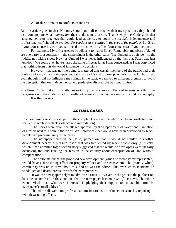All of these amount to conflicts of interest.

But this article goes further: Not only should journalists consider their own positions, they should also contemplate what *impression* their actions may create. That is why the Code adds that "arrangements or practices that could lead audiences to doubt the media's independence and professionalism" should be avoided. *Perceptions are realities in the eyes of the beholder*. So: Even if your conscience is clear, you still need to consider the effect (consequences) of your actions.

For example: My office used to be adjacent to that of Sanef. Remember, members of Sanef are one party to a complaint – the complainant is the other party. The Ombud is a referee – in the middle, not taking sides. Now, as Ombud I was never influenced by the fact that Sanef was just next door. We could even have shared the same office as far as I was concerned, as I was convinced that nothing from outside would influence my decisions.

However, that was not the point. It mattered that certain members of the public had their doubts as to my office's independence (because of Sanef's close proximity to the Ombud). So, even though it did not influence my rulings in the least, we moved to different premises to avoid the perception that our independence and professionalism might be compromised.

The Press Council takes this matter so seriously that it views conflicts of interest as a third tier transgression of the Code, which is headlined *Serious misconduct* – along with child pornography. It is that serious.

#### ACTUAL CASES

In an extremely serious case, part of the complaint was that the editor had been conflicted (and that led to white-on-black violence and intimidation).

 The stories were about the alleged approval by the Department of Water and Sanitation of a resort next to a dam in the North-West province (that would have been developed by black people in a predominantly white area).

 The newspaper created the (false) perception that it would be similar to another development nearby, a pleasure resort that was frequented by black people only (a mistake which it had admitted to); a second story suggested that the would-be developers were illegally occupying the land (fueling the tension in the country about expropriation of land without compensation).

 The editor stated that the proposed new development (which he factually misrepresented) would have a devastating effect on property values and the ecosystem. The (mainly white) community was up in arms about this, and so was the editor. This even led to incidents of vandalism and death threats towards the entrepreneurs.

 It was the newspaper's right to advocate a cause. However, in the process the publication became so involved in these actions that the newspaper became *part of* the news. The editor even invited those who were interested in pledging their support to contact him (on his newspaper's email address).

 The editor allowed non-professional considerations to influence or slant his reporting – with devastating effects.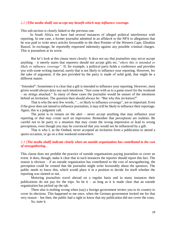#### *2.2 [T]he media shall] not accept any benefit which may influence coverage.*

This sub-section is closely linked to the previous one.

 In South Africa we have had several instances of alleged political interference with reporting. In one case, a former journalist admitted in an affidavit to the NPA to allegations that he was paid to write news articles favourable to the then Premier of the Western Cape, Ebrahim Rasool. In exchange, he reportedly requested indemnity against any possible criminal charges. This is journalism at its worst.

But let's look at this clause more closely. It does not say that journalists may never accept anything – it merely states that reporters should not accept gifts etc.*"where this is intended or likely to influence coverage".* If, for example, a political party holds a conference and provides you with some writing material, surely that is not likely to influence your reporting. However, for the sake of argument, if the pen provided by the party is made of solid gold, that might be a different matter.

"*Intended*": Sometimes it is clear that a gift is intended to influence your reporting. However, most givers would always deny any such intentions. "Just come with us to a game resort for the weekend – no strings attached." In many of these cases the journalist would be unsure of the intentions behind an invitation. The question then should always be: "But why this invitation?"

That is why the next few words, "…or likely to influence coverage", are so important. Even if the giver does not intend to influence journalists, it may still be likely to influence their reportage. Again, this is a judgment call.

The point is to remain on the alert – never accept anything that may influence your reporting *or that may create such an impression*. Remember that perceptions are realities. Be careful not to be party to a situation that may create the wrong impression or lead to wrong perceptions, even though you may be convinced that you would not be influenced by a gift.

That is why I, as the Ombud, never accepted an invitation from a publication to attend a sports occasion, or go on a free weekend somewhere.

#### *2.3 [The media shall] indicate clearly when an outside organization has contributed to the cost of newsgathering.*

This clause does not prohibit the practice of outside organisations paying journalists to cover an event. It does, though, make it clear that in such instances the reporter should report this fact. The reason is obvious – if an outside organization has contributed to the cost of newsgathering, the perception could be created that the journalist might write favourably about the sponsors. The public needs to know this, which would place it in a position to decide for itself whether the reporting was slanted or not.

Motoring journalists travel abroad on a regular basis and in many instances their publications do not pay for the trips. So be it – as long as it is made clear that an outside organization has picked up the tab.

There also is nothing wrong when (say) a foreign government invites you to its country to cover its elections. This happened to me once, when the German government invited me for that very reason – but then, the public had a right to know that my publication did not cover the costs.

So, state it.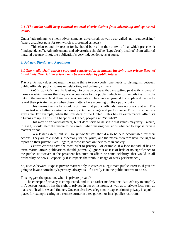#### *2.4 [The media shall] keep editorial material clearly distinct from advertising and sponsored events.*

Under "advertising" we mean advertisements, advertorials as well as so-called "native advertising" (where a subject pays for text which is presented as news).

This clause, and the reason for it, should be read in the context of that which precedes it ("independence"). Advertisements and advertorials should be "kept clearly distinct" from editorial material because if not, the publication's very independence is at stake.

#### *3. Privacy, Dignity and Reputation*

#### *3.1 The media shall exercise care and consideration in matters involving the private lives of individuals. The right to privacy may be overridden by public interest.*

*Privacy*: Privacy does not mean the same thing to everybody; one needs to distinguish between public officials, public figures or celebrities, and ordinary citizens.

*Public officials* have the least right to privacy because they are getting paid with taxpayers' money – which means that they are accountable to the public, which in turn entails that it is the duty of the media to hold these people accountable. They have no ground to complain if the media reveal their private matters when these matters have a bearing on their public duty.

This means the media should not think that public officials have no privacy at all. The litmus test is whether a certain action impacts their image and performance. This, of course, is a grey area. For example, when the President of the United States has an extra-marital affair, its citizens are up in arms; if it happens in France, people ask: "So what?"

This may be an overstatement, but it does serve to illustrate that values may vary – which, in itself, should alert the media to be careful when making decisions whether to expose private matters or not.

To a lesser extent, but still so, *public figures* should also be held accountable for their actions. They are role models, especially for the youth, and the media therefore have the right to report on their private lives – again, if those impact on their roles in society.

*Private citizens* have the most right to privacy. For example, if a lone individual has an extra-marital affair, publications should (normally) ignore it as it is of little or no significance to the public. (However, if the president has such an affair, or some celebrity, that would in all probability be news – especially if it impacts their public image or work performance.)

So, always beware: Expose private matters only in cases of a legitimate public interest. If you are going to invade somebody's privacy, always ask if it really is in the public interest to do so.

This beggars the question, when is private private?

The concept of privacy is complicated, and it is a rather modern one. But let's try to simplify it: A person normally has the right to privacy in her or his home, as well as to private facts such as matters of health, sex and finance. One can also have a legitimate expectation of privacy in a public place, for example eating in a remote corner in a tea garden, or in a (public) restroom.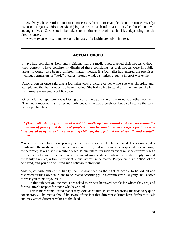As always, be careful not to cause unnecessary harm. For example, do not to (unnecessarily) disclose a subject's address or identifying details, as such information may be abused and even endanger lives. Care should be taken to minimize / avoid such risks, depending on the circumstances.

Always expose private matters only in cases of a legitimate public interest.

#### ACTUAL CASES

I have had complaints from angry citizens that the media photographed their houses without their consent. I have consistently dismissed these complaints, as their houses were in public areas. It would have been a different matter, though, if a journalist had entered the premises without permission, or "stole" pictures through windows (unless a public interest was evident).

Also, a person once said that a journalist took a picture of her while she was shopping and complained that her privacy had been invaded. She had no leg to stand on – the moment she left her home, she entered a public space.

Once, a famous sportsman was kissing a woman in a park (he was married to another woman). The media reported this matter, not only because he was a celebrity, but also because the park was a public place.

3.2 *[The media shall] afford special weight to South African cultural customs concerning the protection of privacy and dignity of people who are bereaved and their respect for those who have passed away, as well as concerning children, the aged and the physically and mentally disabled.* 

*Privacy*: In this sub-section, privacy is specifically applied to the bereaved. For example, if a family asks the media not to take pictures at a funeral, that wish should be respected – even though the ceremony takes place in a public place. Public interest in such an event must be extremely high for the media to ignore such a request. I know of some instances where the media simply ignored the family's wishes, without sufficient public interest in the matter. Put yourself in the shoes of the bereaved, and you also will find such behaviour atrocious.

*Dignity, cultural customs*: "Dignity" can be described as the right of people to be valued and respected for their own sake, and to be treated accordingly. In a certain sense, "dignity" boils down to what you think of yourself.

 In this sub-section, the media are asked to respect bereaved people for whom they are, and for the latter's respect for those who have died.

 This is more complicated than it may look, as cultural customs regarding the dead vary quite considerably. The media should be aware of the fact that different cultures have different rituals and may attach different values to the dead.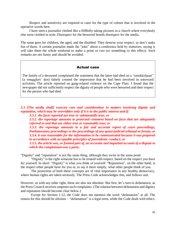Respect and sensitivity are required to cater for the type of culture that is involved in the operative words here.

 I have seen a journalist clothed like a Hillbilly taking pictures in a church where everybody else were clothed in style. Disrespect for the bereaved breeds disrespect for the media.

The same goes for children, the aged, and the disabled. They deserve your respect, so don't make fun of them. A certain journalist made the "joke" about a conference held by stutterers, saying it will take them the whole weekend to make a point or two (or something to this effect). Such remarks are not funny and should be avoided.

#### Actual case

The family of a deceased complained the statement that the latter had died on a "smokkeljaart" (a smugglers' den) falsely created the impression that he had been involved in untoward activities. The article reported on gang-related violence on the Cape Flats. I found that the newspaper did not sufficiently respect the dignity of people who were bereaved and their respect for the person who had died.

*3.3 [The media shall] exercise care and consideration in matters involving dignity and reputation, which may be overridden only if it is in the public interest and if:*

*3.3.1. the facts reported are true or substantially true; or*

*3.3.2. the reportage amounts to protected comment based on facts that are adequately referred to and that are either true or reasonably true; or*

*3.3.3. the reportage amounts to a fair and accurate report of court proceedings, Parliamentary proceedings or the proceedings of any quasi-judicial tribunal or forum; or 3.3.4. it was reasonable for the information to be communicated because it was prepared in accordance with acceptable principles of journalistic conduct; or*

*3.3.5. the article was, or formed part of, an accurate and impartial account of a dispute to which the complainant was a party.*

"Dignity" and "reputation" is not the same thing, although they swim in the same pond.

"Dignity" is the right someone has to be treated with respect, based on the respect you have for yourself. In short: "Dignity" is what you think of yourself. "Reputation", on the other hand, is the respect other people have for you or, to say it more simply, what other people think of you.

The protection of both these concepts are of vital importance in any healthy democracy, where human rights are taken seriously. The Press Code acknowledges this, and follows suit.

However, as with any other right, these are also not absolute. But first, let's turn to defamation, as the Press Council receives umpteen such complaints. (The relation between defamation and dignity and reputation should become clear below.)

Except for Section 1.12, the Code does not mention the word "defamation" at all. The reason for this should be obvious – "defamation" is a legal term, while the Code deals with ethics.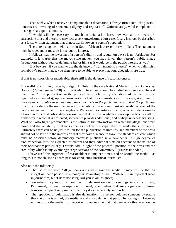That is why, when I receive a complaint about defamation, I always turn it into "the possible unnecessary lowering of someone's dignity and reputation". Unfortunately, valid complaints in this regard are quite common.

 It would still be necessary to touch on defamation here, however, as the media are susceptible to it and therefore may face a very unwelcome court case. It can, in short, be described as a false, written statement that unnecessarily lowers a person's reputation.

 The defence against defamation in South African law rests on two pillars: The statement must be true; and it must be in the public interest.

 It follows that the lowering of a person's dignity and reputation *per se* is not forbidden. For example, if it is true that the mayor stole money, you may lower that person's public image (reputation) without fear of defaming her or him (as it would be in the public interest as well).

But beware – if you want to use the defence of "truth in public interest" when you diminish somebody's public image, you then have to be able to *prove* that your allegations are true.

If that is not possible or practicable, there still is the defence of reasonableness.

The well-known ruling made by Judge J.A. Hefer in the case National Media Ltd. and Others vs. Bogoshi (29 September 1998) is of particular interest and should be studied in its entirety. He said *inter alia*: "...the publication in the press of false defamatory allegations of fact will not be regarded as unlawful *if*, upon a consideration of all the circumstances of the case, *it is found to have been reasonable to publish the particular facts in the particular way and at the particular time*. In considering the reasonableness of the publication account must obviously be taken of the nature, extent and tone of the allegations. We know, for instance, that greater latitude is usually allowed in respect of political discussion…and that the tone in which a newspaper article is written, or the way in which it is presented, sometimes provides additional, and perhaps unnecessary, sting. What will also figure prominently, is the nature of the information on which the allegations were based and the reliability of their source, as well as the steps taken to verify the information. Ultimately there can be no justification for the publication of untruths, and members of the press should not be left with the impression that they have a licence to lower the standards of care which must be observed before defamatory matter is published in a newspaper…a high degree of circumspection must be expected of editors and their editorial staff on account of the nature of their occupation; particularly, I would add, in light of the powerful position of the press and the credibility which it enjoys amongst large sections of the community." (Emphasis added.)

I have used this argument of reasonableness umpteen times, and so should the media – as long as it is not abused as a free pass for conducting unethical journalism.

Also note the following:

- The use of the word "allege" does not always save the media. It may well be that an allegation that a person stole money is defamatory as well. "Allege" is an important word in journalism, but it does not safeguard you in all instances;
- Journalists may report without fear of defamation on proceedings in courts of law, Parliament, or any quasi-judicial tribunal, even when that may significantly lower someone's reputation, provided that they do so accurately and fairly;
- The repetition of defamation is also defamation. If a person defames someone by stating that she or he is a thief, the media would also defame that person by stating it. However, nothing stops the media from reporting *someone said* that that person is a thief – as long as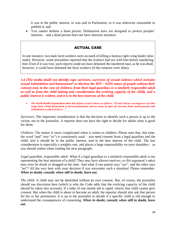it was in the public interest, or was said in Parliament, or it was otherwise reasonable to publish it; and

• You cannot defame a dead person. Defamation laws are designed to protect peoples' interests – and a dead person does not have interests anymore.

## ACTUAL CASE

In one instance, two male farm workers were accused of killing a famous right-wing leader (also male). However, some journalists reported that the workers had sex with him before murdering him. Even if it was true, such reports could not have defamed the murdered man, as he was dead; however, it could have defamed the farm workers (if the rumours were false).

*3.4 [The media shall] not identify rape survivors, survivors of sexual violence which includes sexual intimidation and harassment\* or disclose the HIV / AIDS status of people without their consent and, in the case of children, from their legal guardian or a similarly responsible adult as well as from the child (taking into consideration the evolving capacity of the child), and a public interest is evident, and it is in the best interests of the child.*

• *The World Health Organisation* **inter alia** *defines sexual violence as follows: "Sexual violence encompasses acts that range from verbal harassment to forced penetration, and an array of types of coercion, from social pressure and intimidation to physical force…"*

*Survivors*: The important consideration is that the decision to identify such a person is up to the victim, not to the journalist. A reporter does not have the right to decide for adults what is good for them.

*Children*: The matter is more complicated when it comes to children. Please note that, this time, the word "and" (not "or") is consistently used – you need consent from a legal guardian *and* the child; *and* it should be in the public interest, *and* in the best interest of the child. The last consideration is especially a weighty one, and places a huge responsibility on your shoulders – as you should realise when reading the next paragraph.

*Legal guardian, responsible adult:* What if a legal guardian or a similarly responsible adult is not representing the best interests of a child? They may have ulterior motives, or (for argument's sake) may even be drunk or drugged at the time. And what if one parent says "yes", and the other says "no"? All the very best with your decision if you encounter such a situation! Please remember. *When in doubt, consult; when still in doubt, leave out*.

*The child:* A child may not be identified without its own consent. But, of course, the journalist should use discretion here (which is why the Code adds that the evolving capacity of the child should be taken into account). If a baby of one month old is raped, clearly that child cannot give consent. But when the child is about to become an adult, the reporter should also ask that person for his or her permission. It is up to the journalist to decide if a specific child is old enough to understand the consequences of consenting. *When in doubt, consult; when still in doubt, leave out*.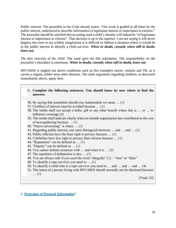*Public interest:* The preamble to the Code already states: "Our work is guided at all times by the public interest, understood to describe information of legitimate interest or importance to citizens." The journalist should be satisfied that revealing such a child's identity will indeed be "of legitimate interest or importance to citizens". That decision is up to the reporter. I am not saying it will never happen, but even in my wildest imagination it is difficult to fathom a situation where it would be in the public interest to identify a child survivor. *When in doubt, consult; when still in doubt, leave out.*

*The best interests of the child:* The same goes for this stipulation. The responsibility on the journalist's shoulders is enormous. *When in doubt, consult; when still in doubt, leave out*.

HIV/AIDS is singled out above conditions such as (for example) cancer, malaria and TB, as it carries a stigma, unlike most other diseases. The same arguments regarding children, as discussed immediately above, apply here.

- **C. Complete the following sentences. You should know by now where to find the answers.**
- 36. By saying that journalists should stay independent we mean … (1)
- 37. Conflicts of interest must be avoided because … (1)
- 38. The media shall not accept a bribe, gift or any other benefit where this is … or … to influence coverage (2)
- 39. The media shall indicate clearly when an outside organization has contributed to the cost of newsgathering because … (1)
- 40. "Native advertising" is where … (1)
- 41. Regarding public interest, one must distinguish between … and … and … (3)
- 42. Public officials have the least right to privacy because … (1)
- 43. Celebrities have less right to privacy than citizens because … (1)
- 44. "Reputation" can be defined as … (1)
- 45. "Dignity" can be defined as … (1)
- 46. You cannot defame someone with … and when it is … (2)
- 47. The repetition of defamation is also … (1)
- 48. You are always safe if you used the word "allegedly"  $(1)$  "true" or "false"
- 49. To identify a rape survivor you need to … (1)
- 50. To identify a child who is a rape survivor you need to … and … and … and … (4)
- 51. The status of a person living with HIV/AIDS should normally not be disclosed because … (1)

[Total: 23]

4. *Protection of Personal Information*\*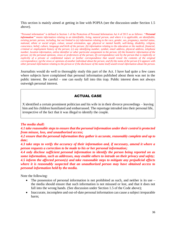This section is mainly aimed at getting in line with POPIA (see the discussion under Section 1.5 above).

"Personal information" is defined in Section 1 of the Protection of Personal Information Act 4 of 2013 as as follows: *''Personal information'' means information relating to an identifiable, living, natural person, and where it is applicable, an identifiable, existing juristic person, including, but not limited to (a) information relating to the race, gender, sex, pregnancy, marital status, national, ethnic or social origin, colour, sexual orientation, age, physical or mental health, well-being, disability, religion, conscience, belief, culture, language and birth of the person; (b) information relating to the education or the medical, financial, criminal or employment history of the person; (c) any identifying number, symbol, email address, physical address, telephone number, location information, online identifier or other particular assignment to the person; (d) the biometric information of the person; (e) the personal opinions, views or preferences of the person; (f) correspondence sent by the person that is implicitly or explicitly of a private or confidential nature or further correspondence that would reveal the contents of the original correspondence; (g) the views or opinions of another individual about the person; and (h) the name of the person if it appears with other personal information relating to the person or if the disclosure of the name itself would reveal information about the person.*

Journalists would do well to thoroughly study this part of the Act. I have had quite a few cases where subjects have complained that personal information published about them was not in the public interest. Be careful – one can easily fall into this trap. Public interest does not always outweigh personal interest.

## ACTUAL CASE

X identified a certain prominent politician and his wife in in their divorce proceedings – leaving him and his children humiliated and embarrassed. The reportage intruded into their personal life, irrespective of the fact that it was illegal to identify the couple.

#### *The media shall:*

*4.1 take reasonable steps to ensure that the personal information under their control is protected from misuse, loss, and unauthorized access;*

*4.2 ensure that the personal information they gather is accurate, reasonably complete and up to date;*

*4.3 take steps to verify the accuracy of their information and, if necessary, amend it where a person requests a correction to be made to his or her personal information;*

*4.4 only disclose sufficient personal information to identify the person being reported on as some information, such as addresses, may enable others to intrude on their privacy and safety; 4.5 inform the affected person(s) and take reasonable steps to mitigate any prejudicial effects where it is reasonably suspected that an unauthorized person may have obtained access to personal information held by the media.* 

Note the following:

- The possession of personal information is not prohibited as such, and neither is its use the media should ensure that such information is not misused or lost, and that it does not fall into the wrong hands. (See discussion under Section 1.5 of the Code above);
- Inaccurate, incomplete and out-of-date personal information can cause a subject irreparable harm;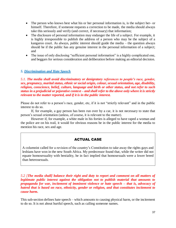- The person who knows best what his or her personal information is, is the subject her- or himself. Therefore, if someone requests a correction to be made, the media should always take this seriously and verify (and correct, if necessary) that information;
- The disclosure of personal information may endanger the life of a subject. For example, it is highly irresponsible to publish the address of a person who may be the subject of a kangaroo court. As always, public interest should guide the media – the question always should be if the public has any genuine interest in the personal information of a subject; and
- The issue of only disclosing "sufficient personal information" is a highly complicated one, and beggars for serious consideration and deliberation before making an editorial decision.

## *5. Discrimination and Hate Speech*

*5.1. The media shall avoid discriminatory or denigratory references to people's race, gender, sex, pregnancy, marital status, ethnic or social origin, colour, sexual orientation, age, disability, religion, conscience, belief, culture, language and birth or other status, and not refer to such status in a prejudicial or pejorative context – and shall refer to the above only where it is strictly relevant to the matter reported, and if it is in the public interest.* 

Please do not refer to a person's race, gender, etc, if it is not "strictly relevant" and in the public interest to do so.

If, for example, a gay person has been run over by a car, it is not necessary to state that person's sexual orientation (unless, of course, it is relevant to the matter).

However if, for example, a white male in his forties is alleged to have raped a woman and the police are on his trail, it would for obvious reasons be in the public interest for the media to mention his race, sex and age.

## ACTUAL CASE

A columnist called for a revision of the country's Constitution to take away the rights gays and lesbians have won in the new South Africa. My predecessor found that, while the writer did not equate homosexuality with bestiality, he in fact implied that homosexuals were a lower breed than heterosexuals.

*5.2 [The media shall] balance their right and duty to report and comment on all matters of legitimate public interest against the obligation not to publish material that amounts to propaganda for war, incitement of imminent violence or hate speech – that is, advocacy of hatred that is based on race, ethnicity, gender or religion, and that constitutes incitement to cause harm.*

This sub-section defines hate speech – which amounts to causing physical harm, or the incitement to do so. It is not about hurtful speech, such as calling someone names.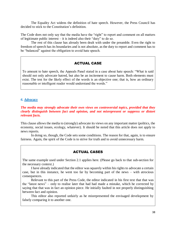The Equality Act widens the definition of hate speech. However, the Press Council has decided to stick to the Constitution's definition.

The Code does not only say that the media have the "right" to report and comment on all matters of legitimate public interest – it is indeed also their "duty" to do so.

The rest of this clause has already been dealt with under the preamble. Even the right to freedom of speech has its boundaries and is not absolute, as the duty to report and comment has to be "balanced" against the obligation to avoid hate speech.

## ACTUAL CASE

To amount to hate speech, the Appeals Panel stated in a case about hate speech: "What is said should not only advocate hatred, but also be an incitement to cause harm. Both elements must exist. The test for the likely effect of the words is an objective one; that is, how an ordinary reasonable or intelligent reader would understand the words."

#### *6. Advocacy*

#### *The media may strongly advocate their own views on controversial topics, provided that they clearly distinguish between fact and opinion, and not misrepresent or suppress or distort relevant facts.*

This clause allows the media to (strongly) advocate its views on any important matter (politics, the economy, social issues, ecology, whatever). It should be noted that this article does not apply to news reports.

In doing so, though, the Code sets some conditions. The reason for that, again, is to ensure fairness. Again, the spirit of the Code is to strive for truth and to avoid unnecessary harm.

## ACTUAL CASES

The same example used under Section 2.1 applies here. (Please go back to that sub-section for the necessary context.)

 I have already indicated that the editor was squarely within his rights to advocate a certain case, but in this instance, he went too far by becoming part of the news – with atrocious consequences.

 Relevant to this part of the Press Code, the editor indicated in his first text that that was the "latest news" – only to realise later that had had made a mistake, which he corrected by saying that that was in fact an opinion piece. He initially faulted in not properly distinguishing between fact and opinion.

 This editor also reported unfairly as he misrepresented the envisaged development by falsely comparing it to another one.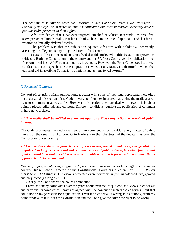The headline of an editorial read: *Tumi Morake: A victim of South Africa's 'Bell Pottinger' – Solidarity and AfriForum thrive on ethnic mobilisation and false narratives. Now they have a popular radio presenter in their sights.*

 AfriForm denied that it has ever targeted, attacked or vilified Jacaranda FM breakfast show presenter Tumi Morake, that it has "harked back" to the time of apartheid, and that it has resorted to "racially divisive" tactics.

 The problem was that the publication equated AfriForm with Solidarity, incorrectly ascribing the allegations regarding the latter to the former.

 I stated: "The editor needs not be afraid that this office will stifle freedom of speech or criticism. Both the Constitution of the country and the SA Press Code give [the publication] the freedom to criticise AfriForum as much as it wants to. However, the Press Code does list a few conditions to such speech. The one in question is whether any facts were distorted – which the editorial did in ascribing Solidarity's opinions and actions to AfriForum."

#### *7. Protected Comment*

*General observation*: Many publications, together with some of their legal representatives, often misunderstand this section of the Code – every so often they interpret it as giving the media a green light to comment in *news stories*. However, this section does *not* deal with news – it is about opinion pieces, editorials and cartoons. Different conditions regulate the publication of comment in hard news articles.

#### *7.1 The media shall be entitled to comment upon or criticise any actions or events of public interest.*

The Code guarantees the media the freedom to comment on or to criticize any matter of public interest as they see fit and to contribute fearlessly to the robustness of the debate – as does the Constitution of our country.

#### *7.2 Comment or criticism is protected even if it is extreme, unjust, unbalanced, exaggerated and prejudiced, as long as it is without malice, is on a matter of public interest, has taken fair account of all material facts that are either true or reasonably true, and is presented in a manner that it appears clearly to be comment.*

*Extreme, unjust, unbalanced, exaggerated, prejudiced:* This is in line with the highest court in our country. Judge Edwin Cameron of the Constitutional Court has ruled in April 2011 (*Robert McBride vs. The Citizen*): "Criticism is protected even if extreme, unjust, unbalanced, exaggerated and prejudiced (as long as it …)."

Clearly, the Code shares the court's conviction.

I have had many complaints over the years about extreme, prejudiced, etc. views in editorials and cartoons. In some cases I have not agreed with the content of such those editorials – but that could not be my yardstick for adjudication. Even if an editorial is wrong in its outlook, from my point of view, that is, both the Constitution and the Code give the editor the right to be wrong.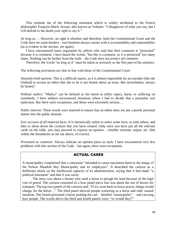This reminds me of the following statement which is widely attributed to the French philosopher François-Marie Arouet, also known as Voltaire: "I disapprove of what you say, but I will defend to the death your right to say it."

*As long as*…: However, no right is absolute and therefore, both the Constitutional Court and the Code have set some borders – real freedom always carries with it accountability and responsibility (as is evident in the section, yet again).

I have encountered many arguments by editors who said that their comment is "protected" *because* it is comment. I have heard the words, "but this is comment, so it is protected" too many times. Nothing can be further from the truth – *the Code does not protect all comment*.

Therefore, the words "as long as it" must be taken as seriously as the first part of the sentence.

The following provisions are also in line with those of the Constitutional Court:

*Honestly-held opinion*: This is a difficult matter, as it is almost impossible for an outsider (like the Ombud) to accuse an editor that she or he is not honest about an issue. But nevertheless, always be honest!

*Without malice*: "Malice" can be defined as the intent to inflict injury, harm, or suffering on somebody. I have seldom encountered situations where I had to decide that a journalist was malicious. But there were exceptions, and those were extremely serious…

*Public interest*: These words were inserted to ensure that an editor does not put a purely personal matter into the public domain.

*Fair account of all material facts*: It is intrinsically unfair to select some facts, to omit others, and then to shoot down the creature that you have created. Only once you have put all the relevant cards on the table, you may proceed to express an opinion – whether extreme, unjust, etc. (but within the boundaries as set out above, of course).

*Presented as comment*: Always indicate an opinion piece as such. I have encountered very few problems with this section of the Code – but again, there were exceptions.

## ACTUAL CASES

A municipality complained that a cartoonist "intended to cause maximum harm to the image of the Nelson Mandela Bay Municipality and its employees". It described the cartoon as a deliberate attack on the intellectual capacity of its administration, saying that it had made "a political statement" and that it was racist.

The story was about a farmer who used a horse to plough his land because of the high cost of petrol. The cartoon consisted of a four-panel piece that was about the use of horses for transport. The top two panels of the cartoon said: "If we went back to horse power, things would change for the better…" The third panel showed people scattering as a horse and rider caused mayhem. The fourth portrayed a horse pushing the cart – labelled "municipality" – and carrying four people. The words above the third and fourth panels were: "or would they?"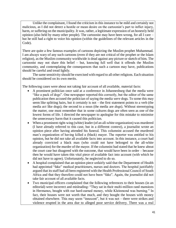Unlike the complainant, I found the criticism in this instance to be mild and certainly not malicious, as I did not detect a hostile or mean desire on the cartoonist's part to inflict injury, harm, or suffering on the municipality. It was, rather, a legitimate expression of an honestly held opinion (also held by many other people). The cartoonist may have been wrong, for all I care – but he still had a right to voice his opinion (within the guidelines of the relevant articles in the Code).

There are quite a few famous examples of cartoons depicting the Muslim prophet Muhammad. I am always wary of any such cartoons (even if they are not critical of the prophet or the Islam religion), as the Muslim community worldwide is dead against any picture or sketch of him. The cartoonist may not share this belief – but, knowing full well that it offends the Muslim community, and contemplating the consequences that such a cartoon may have, publications should be careful and tread lightly.

The same sensitivity should be exercised with regard to all other religions. Each situation should be considered on its own merits.

The following cases were about not taking fair account of all available, material facts:

- A prominent politician once said at a conference in Johannesburg that the media were "like a pack of dogs". One newspaper reported this correctly, but the editor of the same publication then accused the politician of saying the media *were* dogs. To some this may seem like splitting hairs, but it certainly is not – the first statement points to a verb (the media *act* like dogs); the second to a noun (the media are *dogs*). Without stereotyping the matter, one must remember that in some cultures dogs are often seen as one of the lowest forms of life. I directed the newspaper to apologise for this mistake to minimise the unnecessary harm that it caused this politician.
- When a prominent right-wing (white) leader (of an all-white organization) was murdered (I have already referred to this case, but in a different context), a journalist wrote an opinion piece after having attended his funeral. This columnist accused the murdered man's organization of having killed a (black) mayor. The reporter was entitled to his opinion, but he did not take all available facts into account. In this instance, a court had already convicted a black man (who could not have belonged to the all-white organization) for the murder of the mayor. If the columnist had stated that he knew about the court case but disagreed with the outcome, that would have been in order – because then he would have taken this vital piece of available fact into account (with which he did not have to agree). Unfortunately, he neglected to do so.
- A hospital complained that an opinion piece unfairly said that the Department of Health had appointed "fake" medical practitioners, nurses and doctors. The hospital justifiably argued that its staff had all been registered with the Health Professional Council of South Africa and that they therefore could not have been "fake". Again, the journalist did not take fair account of all available facts.
- Two municipal officers complained that the following references to their houses (in an editorial) were incorrect and misleading: "They sat in their multi-million rand mansions in Hermanus, bought with our hard-earned money, while Kleinmond was burning." In fact, their houses were not worth that much, and they bought the houses with money obtained elsewhere. This may seem "innocent", but it was not – there were strikes and violence erupted in the area due to alleged poor service delivery. There was a real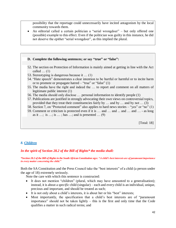possibility that the reportage could unnecessarily have incited antagonism by the local community towards them.

• An editorial called a certain politician a "serial wrongdoer" – but only offered one (possible) example to this effect. Even if the politician was guilty in this instance, he did not deserve the epithet "serial wrongdoer", as this implied the plural.

## **D. Complete the following sentences; or say "true" or "false":**

- 52. The section on Protection of Information is mainly aimed at getting in line with the Act called  $\dots$  (1)
- 53. Stereotyping is dangerous because it … (1)
- 54. "Hate speech" demonstrates a clear intention to be hurtful or harmful or to incite harm or to promote or propagate hatred – "true" or "false" (1)
- 55. The media have the right and indeed the … to report and comment on all matters of legitimate public interest (1)
- 56. The media should only disclose … personal information to identify people (1)
- 57. Publications are justified in strongly advocating their own views on controversial topics, provided that they treat their constituencies fairly by … and by … and by not … (3)
- 58. Section 7, on "Protected comment" also applies to hard news stories "yes" or "no" (1)
- 59. Comment or criticism is protected even if it is … and … and ... and … and … as long as it  $\ldots$ ; is  $\ldots$ ; is  $\ldots$ ; has  $\ldots$ ; and is presented  $\ldots$  (9)

[Total: 18]

## *8. Children*

## *In the spirit of Section 28.2 of the Bill of Rights\* the media shall:*

#### *\*Section 28.2 of the Bill of Rights in the South African Constitution sqys: "A child's best interests are of paramount importance in every matter concerning the child."*

Both the SA Constitution and the Press Council take the "best interests" of a child (a person under the age of 18) extremely seriously.

Note the care with which this sentence is constructed:

- It does not mention "children" (plural, which may have amounted to a generalisation); instead, it is about a *specific* child (singular) – each and every child is an individual, unique, precious and important, and should be treated as such;
- It is not only about a child's interests, it is about her or his "best" interests;
- Most importantly, the specification that a child's best interests are of "paramount importance" should not be taken lightly – this is the first and only time that the Code qualifies a matter in such radical terms; and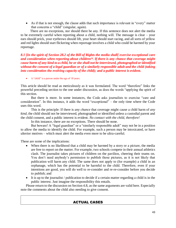• As if that is not enough, the clause adds that such importance is relevant in "every" matter that concerns a "child" (singular, again).

 There are no exceptions, nor should there be any. If this sentence does not alert the media to be extremely careful when reporting about a child, nothing will. The message is clear – your ears should prick, your eyebrows should lift, your heart should start racing, and all sorts of yellow and red lights should start flickering when reportage involves a child who could be harmed by your reportage.

*8.1 [In the spirit of Section 28.2 of the Bill of Rights the media shall[ exercise exceptional care and consideration when reporting about children\*. If there is any chance that coverage might cause harm of any kind to a child, he or she shall not be interviewed, photographed or identified without the consent of a legal guardian or of a similarly responsible adult and the child (taking into consideration the evolving capacity of the child); and a public interest is evident.*

• A "child" is a person under the age of 18 years.

This article should be read as meticulously as it was formulated. The word "therefore" links the powerful preceding section to the one under discussion, as does the words "applying the spirit of this section.

But there is more. In some instances, the Code asks journalists to exercise "care and consideration". In this instance, it adds the word "exceptional" – the only time where the Code uses this word.

This is the principle: If there is *any chance* that coverage might cause a child harm of *any kind*, the child should not be interviewed, photographed or identified unless a custodial parent and the child consent, and a public interest is evident. *No contact with the child, therefore!*

In this instance, there are no exceptions. There should be none.

But beware! A "legal guardian" or a "similarly responsible adult" may not be in a position to allow the media to identify the child. For example, such a person may be intoxicated, or have ulterior motives – which must alert the media even more to be ultra-careful.

These are some of the implications:

- When there is no likelihood that a child may be harmed by a story or a picture, the media are free to report on the matter. For example, two schools compete in their annual athletics clash. The journalist takes pictures of children on the pavilion, cheering their teams on. You don't need anybody's permission to publish those pictures, as it is not likely that publication will harm any child. The same does not apply to (for example) a child in an orphanage, which has the potential to be harmful to the child. Therefore, even if your intentions are good, you will do well to re-consider and re-re-consider before you decide to publish; and
- It is up to the journalist / publication to decide if a certain matter regarding a child is in the public interest. Just imagine the responsibility this entails.

Please return to the discussion on Section 4.8, as the same arguments are valid here. Especially note the comments about the child also needing to give consent.

## ACTUAL CASES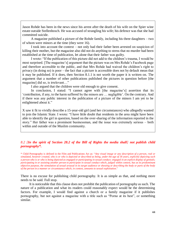Jason Rohde has been in the news since his arrest after the death of his wife on the Spier wine estate outside Stellenbosch. He was accused of strangling his wife; his defence was that she had committed suicide.

 A magazine published a picture of the Rohde family, including his three daughters – two of whom were minors at the time (they were 16).

 I took into account the context – not only had their father been arrested on suspicion of killing their mother, but the magazine also did not do anything to stress that no murder had been established at the time of publication, let alone that their father was guilty.

 I wrote: "If the publication of this picture did not add to the children's trauma, I would be most surprised. [The magazine's] argument that the picture was on Mrs Rohde's Facebook page and therefore accessible to the public, and that Mrs Rohde had waived the children's right to privacy (in doing so) is poor – the fact that a picture is accessible does not by default mean that it may be published. If it does, then Section 8.1.1 is not worth the paper it is written on. The argument that a number of other publications published the pictures in question before [the magazine] did so, is irrelevant…"

I also argued that the children were old enough to give consent.

In conclusion, I stated: "I cannot agree with [the magazine's] assertion that its 'contribution, if any, to the harm suffered by the minors are … negligible'. On the contrary. And if there was any public interest in the publication of a picture of the minors I am yet to be enlightened about it."

X saw it fit to vividly describe a 15-year-old girl (and her circumstances) who allegedly wanted to join the Islamic State. I wrote: "I have little doubt that residents in the area might have been able to identify the girl in question, based on the over-sharing of the information reported in the story." Her father was a prominent businessman, and the issue was extremely serious – both within and outside of the Muslim community.

#### *8.2 [In the spirit of Section 28.2 of the Bill of Rights the media shall] not publish child pornography\*.*

\* Child Pornography is defined in the Film and Publications Act as: "*Any visual image or any description of a person, real or simulated, however created, who is or who is depicted or described as being, under the age of 18 years, explicitly depicting such a person who is or who is being depicted as engaged or participating in sexual conduct; engaged in an explicit display of genitals; participating in or assisting another person to participate in sexual conduct which, judged within context, has as its predominant objective purpose, the stimulation of sexual arousal in its target audience or showing or describing the body or parts of the body of the person in a manner or circumstance which, in context, amounts to sexual exploitation*."

There is no excuse for publishing child pornography. It is as simple as that, and nothing more needs to be said. Full stop.

 It is noticeable that this clause does not prohibit the publication of pornography as such. The nature of a publication and what its readers could reasonably expect would be the determining factors. For example, I would find against a church or a family magazine if it publishes pornography, but not against a magazine with a title such as "Porno at its best", or something similar.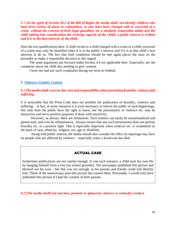*8.3 [In the spirit of Section 28.2 of the Bill of Rights the media shall] not identify children who have been victims of abuse or exploitation, or who have been charged with or convicted of a crime, without the consent of their legal guardians (or a similarly responsible adult) and the child (taking into consideration the evolving capacity of the child), a public interest is evident and it is in the best interests of the child.*

Note the two qualifications here: A child victim or a child charged with a crime or a child convicted of a crime may only be identified when it is in the public's interest *and* if it is in that child's best interests to do so. The fact that *both* conditions should be met again places the onus on the journalist to make a responsible decision in this regard.

 The same arguments put forward under Section 4.8 are applicable here. Especially, see the comments about the child also needing to give consent.

I have not had any such complaints during my term as Ombud.

#### *9. Violence, Graphic Content*

#### *9.1 The media shall exercise due care and responsibility when presenting brutality, violence and suffering.*

It is noticeable that the Press Code does not prohibit the publication of brutality, violence and suffering – in fact, in some instances it is even necessary to inform the public of such happenings. Not only does the public have the right to know, but the presentation of violence etc. may be instructive and serve positive purposes if done with sensitivity.

However, as always, there are limitations. Such matters can easily be sensationalized and glamorized, and even be inflammatory. Always ensure that any such presentation does not portray brutality etc. in a positive light. This is especially important when violence etc. is committed on the basis of race, ethnicity, religion, sex, age or disability.

Along with public interest, the media should also consider the effect its reportage may have on people who are affected by violence – especially when a loved-one has died.

#### ACTUAL CASE

Sometimes publications are not careful enough. In one such instance, a child took his own life by hanging himself from a tree (on school grounds). The newspaper published this picture and blocked out his eyes – but that was not enough, as his parents and friends could still identify him. Think of the unnecessary pain this picture has caused them. Personally, I would only have published this picture if I had the consent of both parents.

*9.2 [The media shall] not sanction, promote or glamorise violence or unlawful conduct.*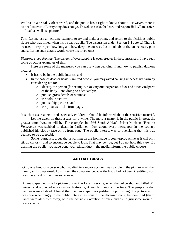We live in a brutal, violent world, and the public has a right to know about it. However, there is no need to over-kill. Anything does not go. This clause asks for "care and responsibility" and refers to "text" as well as "pictures".

*Text*: Let me use an extreme example to try and make a point, and return to the fictitious public figure who was killed when his throat was slit. (See discussion under Section 1.4 above.) There is no need to report just how long and how deep the cut was. Just think about the unnecessary pain and suffering such details would cause his loved ones.

*Pictures, video footage*. The danger of overstepping is even greater in these instances. I have seen some atrocious examples of this.

 Here are some of the measures you can use when deciding if and how to publish dubious pictures:

- It has to be in the public interest; and
- In the case of dead or heavily injured people, you may avoid causing unnecessary harm by considering not to:
	- $\circ$  identify the person (for example, blocking out the person's face and other vital parts of the body – and doing so adequately);
	- o publish gross details of wounds;
	- o use colour pictures;
	- o publish big pictures; and
	- o use pictures on the front page.

In such cases, readers – and especially children – should be informed about the sensitive material.

Let me dwell on these issues for a while. The more a matter is in the public interest, the greater your freedom will be. For example, in 1966 South Africa's Prime Minister (Hendrik Verwoerd) was stabbed to death in Parliament. Just about every newspaper in the country published his bloody face on its front page. The public interest was so overriding that this was deemed to be acceptable.

Some journalists argue that a warning on the front page is counterproductive as it will only stir up curiosity and so encourage people to look. That may be true, but I do not hold this view. By warning the public, you have done your ethical duty – the media inform; the public choose.

## ACTUAL CASES

Only one hand of a person who had died in a motor accident was visible in the picture – yet the family still complained. I dismissed the complaint because the body had not been identified, nor was the extent of the injuries revealed.

A newspaper published a picture of the Marikana massacre, when the police shot and killed 34 miners and wounded scores more. Naturally, it was big news at the time. The people in the picture were all dead. I found that the newspaper was justified in publishing this picture as it was overwhelmingly in the public interest, as none of the deceased could be identified (their faces were all turned away, with the possible exception of one), and as no gruesome wounds were visible.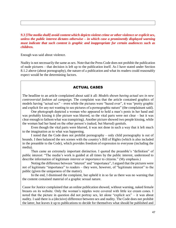*9.3 [The media shall] avoid content which depicts violent crime or other violence or explicit sex, unless the public interest dictates otherwise – in which case a prominently displayed warning must indicate that such content is graphic and inappropriate for certain audiences such as children.*

Enough was said about violence.

Nudity is not necessarily the same as sex. Note that the Press Code does not prohibit the publication of nude pictures – that decision is left up to the publication itself. As I have stated under Section 8.1.2 above (about pornography), the nature of a publication and what its readers could reasonably expect would be the determining factors.

#### ACTUAL CASES

The headline to an article complained about said it all: *Models shown having actual sex in new controversial fashion ad campaign.* The complaint was that the article contained graphics of models having "actual sex" – even while the pictures were "hazed over", it was "pretty graphic and explicit for any not wanting to see pictures of a pornographic nature" (the complainant said).

 One photograph depicted a woman who appeared to hold a man's penis in her hand and was probably kissing it (the picture was blurred, so the vital parts were not clear – but it was clear enough to fathom what was transpiring). Another picture showed two people kissing, while the woman had her hand on the other person's (naked, but blurred) genitals.

 Even though the vital parts were blurred, it was not done in such a way that it left much to the imagination as to what was happening.

 I noted that the Code does not prohibit pornography – only child pornography is out of bounds. I then balanced the sex scenes with the country's Bill of Rights (which is also included in the preamble to the Code), which provides freedom of expression to everyone (including the media).

 Then came an extremely important distinction. I quoted the preamble's "definition" of public interest: "The media's work is guided at all times by the public interest, understood to describe information of legitimate *interest or importance* to citizens*.*" (My emphasis.)

 Noting the difference between "interest" and "importance", I argued that the pictures were not of legitimate "importance" to readers – they were, however, of "legitimate interest" to the public (given the uniqueness of the matter).

 In the end, I dismissed the complaint, but upheld it in so far as there was no warning that the content contained material of a graphic sexual nature.

Cause for Justice complained that an online publication showed, without warning, naked female breasts on its website. Only the woman's nipples were covered with little ice cream cones. I noted that the picture in question did not portray sex, let alone "explicit sex" – it was about nudity. I said there is a (decisive) difference between sex and nudity. The Code does not prohibit the latter, but leaves it up to publications to decide for themselves what should be published and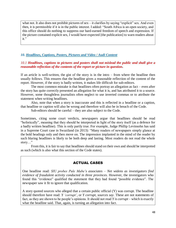what not. It also does not prohibit pictures of sex – it clarifies by saying "explicit" sex. And even then, it is permissible if it is in the public interest. I added: "South Africa is an open society, and this office should do nothing to suppress our hard-earned freedom of speech and expression. If the picture contained explicit sex, I would have expected [the publication] to warn readers about it."

#### *10. Headlines, Captions, Posters, Pictures and Video / Audi Content*

#### *10.1 Headlines, captions to pictures and posters shall not mislead the public and shall give a reasonable reflection of the contents of the report or picture in question.*

If an article is well-written, the gist of the story is in the intro – from where the headline then usually follows. This ensures that the headline gives a reasonable reflection of the content of the report. However, if the story is badly written, it makes life difficult for sub-editors.

The most common mistake is that headlines often portray an allegation as fact – even after the story has quite correctly presented an allegation for what it is, and has attributed it to a source. However, some thoughtless journalists often neglect to use inverted commas or to attribute the statement when writing headlines.

Also, note that when a story is inaccurate and this is reflected in a headline or a caption, that headline or caption will also be wrong and therefore will also be in breach of the Code.

Sub-editors should be careful – they are also subject to the Code.

Sometimes, citing some court verdicts, newspapers argue that headlines should be read "holistically", meaning that they should be interpreted in light of the story itself (as a defence for a badly written headline). This is only partly true. For example, Judge Phillip Levinsohn has said in a Supreme Court case in Swaziland (in 2013): "Many readers of newspapers simply glance at the bold headings only and then move on. The impression implanted in the mind of the reader by such blaring headlines is likely to be both deep and lasting. Most readers do not read the whole story…"

From this, it is fair to say that headlines should stand on their own and should be interpreted as such (which is also what this section of the Code states).

## ACTUAL CASES

One headline read: *SIU probes Pule Mabe's associates – Net widens as investigators find evidence of fraudulent activity conducted in three provinces*. However, the investigators who found this "evidence" qualified the statement that they had found "possible evidence". The newspaper saw it fit to ignore that qualification.

A story quoted sources who alleged that a certain public official (Y) was corrupt. The headline should therefore have read: *Y 'corrupt'*, or *Y corrupt, sources say*. These are not statements of fact, as they are shown to be people's opinions. It should not read *Y is corrupt* – which is exactly what the headline said. That, again, is turning an allegation into fact.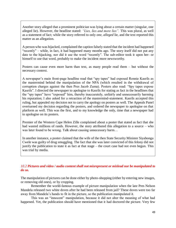Another story alleged that a prominent politician was lying about a certain matter (singular, one alleged lie). However, the headline stated: *"Lies, lies and more lies".* This was plural, as well as a statement of fact; while the story referred to only *one, alleged* lie, and the text reported this matter as an allegation.

A person who was hijacked, complained the caption falsely stated that the incident had happened "recently" – while, in fact, it had happened many months ago. The story itself did not put any date to the hijacking, nor did it use the word "recently". The sub-editor took it upon her- or himself to use that word, probably to make the incident more newsworthy.

Posters can cause even more harm than text, as many people read them – but without the necessary context.

A newspaper's main front-page headline read that "spy tapes" had exposed Ronnie Kasrils as the mastermind behind the manipulation of the NPA (which resulted in the withdrawal of corruption charges against the then Pres Jacob Zuma). Posters also read: "Spy tapes expose Kasrils". I directed the newspaper to apologise to Kasrils for stating as fact in the headlines that the "spy tapes" have "exposed" him, thereby inaccurately, unfairly and unnecessarily harming his reputation; I also asked for a retraction of the mastermind-statement. Kasrils accepted this ruling, but appealed my decision not to carry the apology on posters as well. The Appeals Panel overturned my decision regarding the posters, and ordered the newspaper to apologise on that platform as well. This was the first, and to my knowledge the only, time that a newspaper had to apologise on its posters.

Premier of the Western Cape Helen Zille complained about a poster that stated as fact that she had wasted millions of rands. However, the story attributed this allegation to a source – who was later found to be wrong. Talk about causing unnecessary harm...

In another instance, a poster claimed that the wife of the then State Security Minister Siyabonga Cwele was guilty of drug smuggling. The fact that she was later convicted of this felony did not justify the publication to state it as fact at that stage – the court case had not even begun. This was trial by media.

#### *10.2 Pictures and video / audio content shall not misrepresent or mislead nor be manipulated to do so.*

The manipulation of pictures can be done either by photo-shopping (either by entering new images, or removing old ones), or by cropping.

Remember the world-famous example of picture manipulation when the late Pres Nelson Mandela released two white doves after he had been released from jail? These doves were too far away from Mandela's hands to fit in the picture, so the publication manipulated it.

This was an "innocent" manipulation, because it did not alter the meaning of what had happened. Yet, the publication should have mentioned that it had doctored the picture. Very few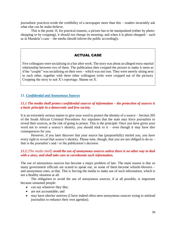journalistic practices erode the credibility of a newspaper more than this – readers invariably ask what else can be make-believe.

This is the point: If, for practical reasons, a picture has to be manipulated (either by photoshopping or by cropping), *it should not change its meaning*; and when it is photo-shopped – such as in Mandela's case – the media should inform the public accordingly.

## ACTUAL CASE

Five colleagues were socialising in a bar after work. The story was about an alleged extra-marital relationship between two of them. The publication then cropped the picture to make it seem as if the "couple" was socialising on their own – which was not true. They were merely sitting next to each other, together with three other colleagues (who were cropped out of the picture). Cropping the story to suit X's reportage. Shame on X.

#### *11. Confidential and Anonymous Sources*

#### *11.1 The media shall protect confidential sources of information – the protection of sources is a basic principle in a democratic and free society.*

It is an extremely serious matter to give your word to protect the identity of a source – Section 205 of the South African Criminal Procedures Act stipulates that the state may force journalists to reveal their sources, at the risk of going to prison. This is the principle: Once you have given your word not to reveal a source's identity, you should stick to it – even though it may have dire consequences for you.

However, if you later discover that your source has (purposefully) misled you, you have every right to reveal that source's identity. Please note, though, that you are not obliged to do so – that is the journalist's and / or the publication's decision.

#### *11.2 [The media shall] avoid the use of anonymous sources unless there is no other way to deal with a story, and shall take care to corroborate such information.*

The use of anonymous sources has become a major problem of late. The main reason is that so many government officials are scared to speak out, so some of them become whistle-blowers – and anonymous ones, at that. This is forcing the media to make use of such information, which is not a healthy situation at all.

The obligation to avoid the use of anonymous sources, if at all possible, is important because unnamed people:

- can say whatever they like;
- are not accountable; and
- may have ulterior motives (I have indeed often seen anonymous sources trying to mislead journalists to enhance their own agendas).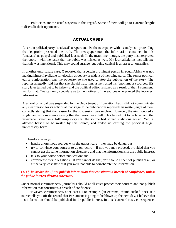Politicians are the usual suspects in this regard. Some of them will go to extreme lengths to discredit their opponents.

## ACTUAL CASES

A certain political party "analysed" a report and fed the newspaper with its analysis – pretending that its probe presented the truth. The newspaper took the information contained in this "analysis" as gospel and published it as such. In the meantime, though, the party misinterpreted the report – with the result that the public was misled as well. My journalistic instinct tells me that this was intentional. This may sound strange, but being cynical is an asset to journalists.

In another unfortunate case, X reported that a certain prominent person in South Africa was not making himself available for election as deputy president of the ruling party. The senior political editor's information was the opposite, so she tried to stop the publication of the story. The reporter allegedly told her that she should trust him, as he trusted his (anonymous) sources. His story later turned out to be false – and the political editor resigned as a result of that. I commend her for that. One can only speculate as to the motives of the sources who planted the incorrect information.

A school principal was suspended by the Department of Education, but it did not communicate any clear reason for its actions at that stage. Nine publications reported this matter, eight of them correctly stating that the reason for the suspension was unclear. However, the ninth quoted a single, anonymous source saying that the reason was theft. This turned out to be false, and the newspaper stated in a follow-up story that the source had spread malicious gossip. Yet, X allowed herself to be misled by this source, and ended up causing the principal huge, unnecessary harm.

Therefore, always:

- handle anonymous sources with the utmost care they may be dangerous;
- try to convince your sources to go on record if not, you may proceed, provided that you cannot get the same information elsewhere and that the information is in the public interest;
- talk to your editor before publication; and
- corroborate their allegations if you cannot do that, you should either not publish at all, or at the very least state that you were not able to corroborate the information.

## *11.3 [The media shall] not publish information that constitutes a breach of confidence, unless the public interest dictates otherwise.*

Under normal circumstances, journalists should at all costs protect their sources and not publish information that constitutes a breach of confidence.

 However, circumstances alter cases. For example (an extreme, thumb-sucked one), if a source tells you off the record that Parliament is going to be blown up the next day, I believe that this information should be published in the public interest. In this (extreme) case, consequences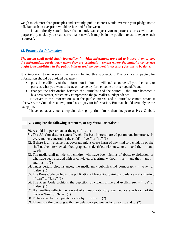weigh much more than principles and certainly, public interest would override your pledge not to tell. But such an exception would be few and far between.

I have already stated above that nobody can expect you to protect sources who have purposefully misled you (read: spread fake news). It may be in the public interest to expose such "sources".

#### *12. Payment for Information*

#### *The media shall avoid shady journalism in which informants are paid to induce them to give the information, particularly when they are criminals – except where the material concerned ought to be published in the public interest and the payment is necessary for this to be done.*

It is important to understand the reasons behind this sub-section. The practice of paying for information should be avoided because it:

- puts the credibility of the information in doubt will such a source tell you the truth, or perhaps what you want to hear, or maybe try further some or other agenda?; and
- changes the relationship between the journalist and the source the latter becomes a business partner, which may compromise the journalist's independence.

 However, if the information is in the public interest and a journalist cannot obtain it otherwise, the Code does allow journalists to pay for information. But that should certainly be the exception.

I have not had any such complaints during my stint of more than nine years as Press Ombud.

#### **E. Complete the following sentences, or say "true" or "false":**

- 60. A child is a person under the age of … (1)
- 61. The SA Constitution states: "A child's best interests are of paramount importance in every matter concerning the child" – "yes" or "no"  $(1)$
- 62. If there is any chance that coverage might cause harm of any kind to a child, he or she shall not be interviewed, photographed or identified without … or … ; and the … ; and … (4)
- 63. The media shall not identify children who have been victims of abuse, exploitation, or who have been charged with or convicted of a crime, without ... or ... and the ... and ... and it is  $\dots$  (5)
- 64. Under certain circumstances, the media may publish child pornography "true" or "false"  $(1)$
- 65. The Press Code prohibits the publication of brutality, gratuitous violence and suffering  $-$  "true" or "false" (1)
- 66. The Press Code prohibits the depiction of violent crime and explicit sex "true" or "false"  $(1)$
- 67. If a headline reflects the content of an inaccurate story, the media are in breach of the Code – "true" or "false"  $(1)$
- 68. Pictures can be manipulated either by … or by … (2)
- 69. There is nothing wrong with manipulation a picture, as long as it … and … (2)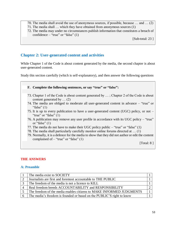- 70. The media shall avoid the use of anonymous sources, if possible, because … and … (2)
- 71. The media shall … which they have obtained from anonymous sources (1)
- 72. The media may under no circumstances publish information that constitutes a breach of confidence – "true" or "false"  $(1)$

[Sub-total: 23 ]

## **Chapter 2: User-generated content and activities**

While Chapter 1 of the Code is about content generated by the media, the second chapter is about user-generated content.

Study this section carefully (which is self-explanatory), and then answer the following questions

**F. Complete the following sentences, or say "true" or "false":**

- 73. Chapter 1 of the Code is about content generated by … ; Chapter 2 of the Code is about content generated by … (2)
- 74. The media are obliged to moderate all user-generated content in advance "true" or "false"  $(1)$
- 75. It is up to every publication to have a user-generated content (UGC) policy, or not "true" or "false"  $(1)$
- 76. A publication may remove any user profile in accordance with its UGC policy "true" or "false"  $(1)$
- 77. The media do not have to make their UGC policy public  $-$  "true" or "false" (1)
- 78. The media shall particularly carefully monitor online forums directed at … (1)
- 79. Normally, it is a defence for the media to show that they did not author or edit the content complained of  $-$  "true" or "false" (1)

[Total: 8 ]

## **THE ANSWERS**

#### **A: Preamble**

| The media exist to SOCIETY                                            |  |
|-----------------------------------------------------------------------|--|
| Journalists are first and foremost accountable to THE PUBLIC          |  |
| The freedom of the media is not a licence to KILL                     |  |
| Real freedom breeds ACCOUNTABILITY and RESPONSIBILITY                 |  |
| The freedom of the media enables citizens to MAKE INFORMED JUDGMENTS  |  |
| The media's freedom is founded or based on the PUBLIC'S right to know |  |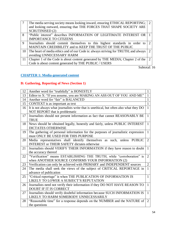|    | The media serving society means looking inward, ensuring ETHICAL REPORTING; 2<br>and looking outward, ensuring that THE FORCES THAT SHAPE SOCIETY ARE<br><b>SCRUTINISED (2)</b> |                             |
|----|---------------------------------------------------------------------------------------------------------------------------------------------------------------------------------|-----------------------------|
| 8  | "Public interest" describes INFORMATION OF LEGITIMATE INTEREST OR<br><b>IMPORTANCE TO CITIZENS</b>                                                                              |                             |
| 9  | Journalists should commit themselves to this highest standards in order to<br>MAINTAIN CREDIBILITY and to KEEP THE TRUST OF THE PUBLIC                                          | $\mathcal{D}$               |
|    | 10 The heart of media ethics and of our Code is: always striving for TRUTH; and always<br>avoiding UNNECESSARY HARM                                                             | $\mathcal{D}$               |
| 11 | Chapter 1 of the Code is about content generated by THE MEDIA; Chapter 2 of the<br>Code is about content generated by THE PUBLIC / USERS                                        | $\mathcal{D}_{\mathcal{L}}$ |

## **CHAPTER 1: Media-generated content**

## **B: Gathering, Reporting of News (Section 1)**

| 12 | Another word for "truthfully" is HONESTLY<br>$\mathbf{1}$                                                                                      |                |
|----|------------------------------------------------------------------------------------------------------------------------------------------------|----------------|
| 13 | Editor to X: "If you assume, you are MAKING AN ASS OUT OF YOU AND ME"                                                                          | 1              |
| 14 | Another word for "fair" is BALANCED<br>1                                                                                                       |                |
| 15 | CONTEXT is as important as text                                                                                                                | $\mathbf{1}$   |
| 16 | It is not always what journalists write that is unethical, but often also what they DO                                                         | 1              |
| 17 | NOT REPORT that is problematic<br>Journalists should not present information as fact that cannot REASONABLY BE<br>$\mathbf{1}$<br><b>TRUE</b>  |                |
| 18 | News should be obtained legally, honestly and fairly, unless PUBLIC INTEREST<br><b>DICTATES OTHERWISE</b>                                      | $\mathbf{1}$   |
| 19 | The gathering of personal information for the purposes of journalistic expression<br>must ONLY BE USED FOR THIS PURPOSE                        | 1              |
| 20 | Media representatives shall identify themselves as such, unless PUBLIC<br>$\overline{2}$<br><b>INTEREST or THEIR SAFETY dictates otherwise</b> |                |
| 21 | Journalists should VERIFY THEIR INFORMATION if they have reason to doubt<br>the accuracy thereof                                               | $\mathbf{1}$   |
| 22 | "Verification" means ESTABLISHING THE TRUTH, while "corroboration" is<br>when ANOTHER SOURCE CONFIRMS YOUR INFORMATION (2)                     | $\overline{2}$ |
| 23 | Verification can only be achieved with PRIMARY and INDEPENDENT sources                                                                         | $\overline{2}$ |
| 24 | The media shall seek the views of the subject of CRITICAL REPORTAGE in<br>advance of publication                                               | $\mathbf{1}$   |
| 25 | "Critical reportage" is when THE PUBLICATION OF INFORMATION IS<br>LIKELY TO LOWER A SUBJECT'S REPUTATION                                       | $\mathbf{1}$   |
| 26 | Journalists need not verify their information if they DO NOT HAVE REASON TO<br><b>DOUBT IF IT IS CORRECT</b>                                   | $\mathbf{1}$   |
| 27 | Journalists should verify doubtful information because SUCH INFORMATION IS<br>LIKELY TO HARM SOMEBODY UNNECESSARILY                            | $\mathbf{1}$   |
| 28 | "Reasonable time" for a response depends on the NUMBER and the NATURE of<br>the questions                                                      | $\overline{2}$ |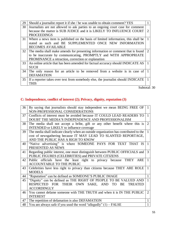| 29              | Should a journalist report it if she / he was unable to obtain comment? YES                                                                                                                               |                       |
|-----------------|-----------------------------------------------------------------------------------------------------------------------------------------------------------------------------------------------------------|-----------------------|
| 30              | Journalists are not allowed to ask parties to an ongoing court case for comment<br>because the matter is SUB JUDICE and it is LIKELY TO INFLUENCE COURT                                                   | 2                     |
| 31              | <b>PROCEEDINGS</b><br>Where a news item is published on the basis of limited information, this shall be<br>stated as such and BE SUPPLEMENTED ONCE NEW INFORMATION<br><b>BECOMES AVAILABLE</b>            |                       |
| 32 <sup>1</sup> | The media shall make amends for presenting information or comment that is found<br>to be inaccurate by communicating, PROMPTLY and WITH APPROPRIATE<br>PROMINANCE a retraction, correction or explanation | $\mathcal{D}_{\cdot}$ |
| 33              | An online article that has been amended for factual accuracy should INDICATE AS<br><b>SUCH</b>                                                                                                            |                       |
| 34              | The only reason for an article to be removed from a website is in case of<br><b>DEFAMATION</b>                                                                                                            |                       |
| 35 <sup>1</sup> | If a reporter takes over text from somebody else, the journalist should INDICATE<br><b>THIS</b>                                                                                                           |                       |

## **C: Independence, conflict of interest (2); Privacy, dignity, reputation (3)**

| 36 | By saying that journalists should stay independent we mean BEING FREE OF                       | $\overline{1}$ |
|----|------------------------------------------------------------------------------------------------|----------------|
|    | NON-PROFESSIONAL CONSIDERATIONS                                                                |                |
| 37 | Conflicts of interest must be avoided because IT COULD LEAD READERS TO<br>$\mathbf{1}$         |                |
|    | DOUBT THE MEDIA'S INDEPENDENCE AND PROFESSIONALISM                                             |                |
| 38 | The media shall not accept a bribe, gift or any other benefit where this is                    | $\overline{2}$ |
|    | INTENDED or LIKELY to influence coverage                                                       |                |
| 39 | The media shall indicate clearly when an outside organization has contributed to the           | $\mathbf{1}$   |
|    | cost of newsgathering because IT MAY LEAD TO SLANTED REPORTAGE,                                |                |
|    | AND THE PUBLIC HAS A RIGH TO KNOW                                                              |                |
| 40 | "Native advertising" is where SOMEONE PAYS FOR TEXT THAT IS                                    | $\mathbf{1}$   |
|    | PRESENTED AS NEWS                                                                              |                |
| 41 | Regarding public interest, one must distinguish between PUBLIC OFFICIALS and<br>$\overline{3}$ |                |
|    | PUBLIC FIGURES (CELEBRITIES) and PRIVATE CITIZENS                                              |                |
| 42 | Public officials have the least right to privacy because THEY ARE                              | $\mathbf{1}$   |
|    | ACCOUNTABLE TO THE PUBLIC                                                                      |                |
| 43 | Celebrities have less right to privacy than citizens because THEY ARE ROLE<br>$\mathbf{1}$     |                |
|    | <b>MODELS</b>                                                                                  |                |
| 44 | "Reputation" can be defined as SOMEONE'S PUBLIC IMAGE                                          | $\mathbf{1}$   |
| 45 | "Dignity" can be defined as THE RIGHT OF PEOPLE TO BE VALUED AND                               | $\mathbf{1}$   |
|    | RESPECTED FOR THEIR OWN SAKE, AND TO BE<br><b>TREATED</b>                                      |                |
|    | <b>ACCORDINGLY</b>                                                                             |                |
| 46 | You cannot defame someone with THE TRUTH and when it is IN THE PUBLIC                          | $\overline{2}$ |
|    | <b>INTEREST</b>                                                                                |                |
| 47 | The repetition of defamation is also DEFAMATION<br>$\mathbf{1}$                                |                |
| 48 | You are always safe if you used the word "allegedly" $(1)$ – FALSE                             | 1              |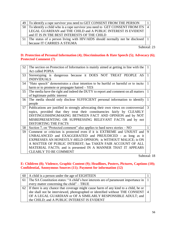|  | 49 To identify a rape survivor you need to GET CONSENT FROM THE PERSON           |  |
|--|----------------------------------------------------------------------------------|--|
|  | 50 To identify a child who is a rape survivor you need to GET CONSENT FROM ITS 4 |  |
|  | LEGAL GUARDIAN and THE CHILD and A PUBLIC INTEREST IS EVIDENT                    |  |
|  | and IT IS IN TBE BEST INTERESTS OF THE CHILD                                     |  |
|  | The status of a person living with HIV/AIDS should normally not be disclosed   1 |  |
|  | because IT CARRIES A STIGMA                                                      |  |

#### **D: Protection of Personal Information (4); Discrimination & Hate Speech (5); Advocacy (6); Protected Comment (7)**

| 52 | The section on Protection of Information is mainly aimed at getting in line with the | 1 |
|----|--------------------------------------------------------------------------------------|---|
|    | Act called POPIA                                                                     |   |
| 53 | Stereotyping is dangerous because it DOES NOT TREAT PEOPLE AS                        | 1 |
|    | <b>INDIVIDUALS</b>                                                                   |   |
| 54 | "Hate speech" demonstrates a clear intention to be hurtful or harmful or to incite   |   |
|    | harm or to promote or propagate hatred – YES                                         |   |
| 55 | The media have the right and indeed the DUTY to report and comment on all matters    | 1 |
|    | of legitimate public interest                                                        |   |
| 56 | The media should only disclose SUFFICIENT personal information to identify           | 1 |
|    | people                                                                               |   |
| 57 | Publications are justified in strongly advocating their own views on controversial   | 3 |
|    | topics, provided that they treat their constituencies fairly by CLEARLY              |   |
|    | DISTINGUISHINGMAKING BETWEEN FACT AND OPINION and by NOT                             |   |
|    | MISREPRESENTING OR SUPPRESSING RELEVANT FACTS and by not                             |   |
|    | <b>DISTORTING THE FACTS</b>                                                          |   |
| 58 | Section 7, on "Protected comment" also applies to hard news stories $- NO$           |   |
| 59 | Comment or criticism is protected even if it is EXTREME and UNJUST and               | 9 |
|    | UNBALANCED and EXAGGERATED and PREJUDICED - as long as it                            |   |
|    | EXPRESSES AN HONESTLY-HELD OPINION; is WITHOUT MALICE; is ON                         |   |
|    | A MATTER OF PUBLIC INTEREST; has TAKEN FAIR ACCOUNT OF ALL                           |   |
|    | MATERIAL FACTS; and is presented IN A MANNER THAT IT APPEARS                         |   |
|    | <b>CLEARLY TO BE COMMENT</b>                                                         |   |

Subtotal: 18

## **E: Children (8); Violence, Graphic Content (9); Headlines, Posters, Pictures, Captions (10); Confidential, Anonymous Sources (11); Payment for information (12)**

| $60$   A child is a person under the age of EIGHTEEN                                     |  |
|------------------------------------------------------------------------------------------|--|
| 61 The SA Constitution states: "A child's best interests are of paramount importance in  |  |
| every matter concerning the child" – TRUE                                                |  |
| 62   If there is any chance that coverage might cause harm of any kind to a child, he or |  |
| she shall not be interviewed, photographed or identified without THE CONSENT   4         |  |
| OF A LEGAL GUARDIAN or OF A SIMILARLY RESPONSIBLE ADULT; and                             |  |
| the CHILD; and A PUBLIC INTEREST IS EVIDENT                                              |  |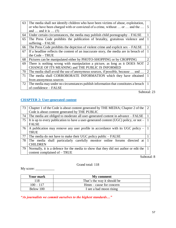| 63 | The media shall not identify children who have been victims of abuse, exploitation,<br>.5 |                |  |
|----|-------------------------------------------------------------------------------------------|----------------|--|
|    | or who have been charged with or convicted of a crime, without  or  and the               |                |  |
|    | and $\ldots$ and it is $\ldots$ (5)                                                       |                |  |
| 64 | Under certain circumstances, the media may publish child pornography – FALSE              |                |  |
| 65 | The Press Code prohibits the publication of brutality, gratuitous violence and            |                |  |
|    | suffering $-$ FALSE                                                                       |                |  |
| 66 | The Press Code prohibits the depiction of violent crime and explicit $sex$ – FALSE        |                |  |
| 67 | If a headline reflects the content of an inaccurate story, the media are in breach of     |                |  |
|    | the Code - TRUE                                                                           |                |  |
| 68 | Pictures can be manipulated either by PHOTO-SHOPPING or by CROPPING                       | 2              |  |
| 69 | There is nothing wrong with manipulation a picture, as long as it DOES NOT                | $\overline{2}$ |  |
|    | CHANGE OF ITS MEANING and THE PUBLIC IS INFORMED                                          |                |  |
| 70 | The media shall avoid the use of anonymous sources, if possible, because  and             | $\overline{2}$ |  |
| 71 | The media shall CORROBORATE INFORMATION which they have obtained                          |                |  |
|    | from anonymous sources                                                                    |                |  |
| 72 | The media may under no circumstances publish information that constitutes a breach        |                |  |
|    | of confidence – FALSE                                                                     |                |  |

## **CHAPTER 2: User-generated content**

| 73   | 2<br>Chapter 1 of the Code is about content generated by THE MEDIA; Chapter 2 of the    |  |
|------|-----------------------------------------------------------------------------------------|--|
|      | Code is about content generated by THE PUBLIC                                           |  |
| 74   | The media are obliged to moderate all user-generated content in advance – FALSE         |  |
| 75   | It is up to every publication to have a user-generated content (UGC) policy, or not $-$ |  |
|      | <b>FALSE</b>                                                                            |  |
| 76   | A publication may remove any user profile in accordance with its UGC policy $-$         |  |
|      | <b>TRUE</b>                                                                             |  |
| 77   | The media do not have to make their UGC policy public – FALSE                           |  |
| 78 I | The media shall particularly carefully monitor online forums directed at                |  |
|      | <b>CHILDREN</b>                                                                         |  |
| 79   | Normally, it is a defence for the media to show that they did not author or edit the    |  |
|      | content complained of – TRUE                                                            |  |

Subtotal: 8

Grand total: 118

My score: \_\_\_\_\_\_\_\_\_\_\_

| <b>Your mark</b> | My comment                  |
|------------------|-----------------------------|
| 118              | That's the way it should be |
| $100 - 117$      | $Hmm - cause for concern$   |
| Below 100        | I see a bad moon rising     |

*"As journalists we commit ourselves to the highest standards…"*